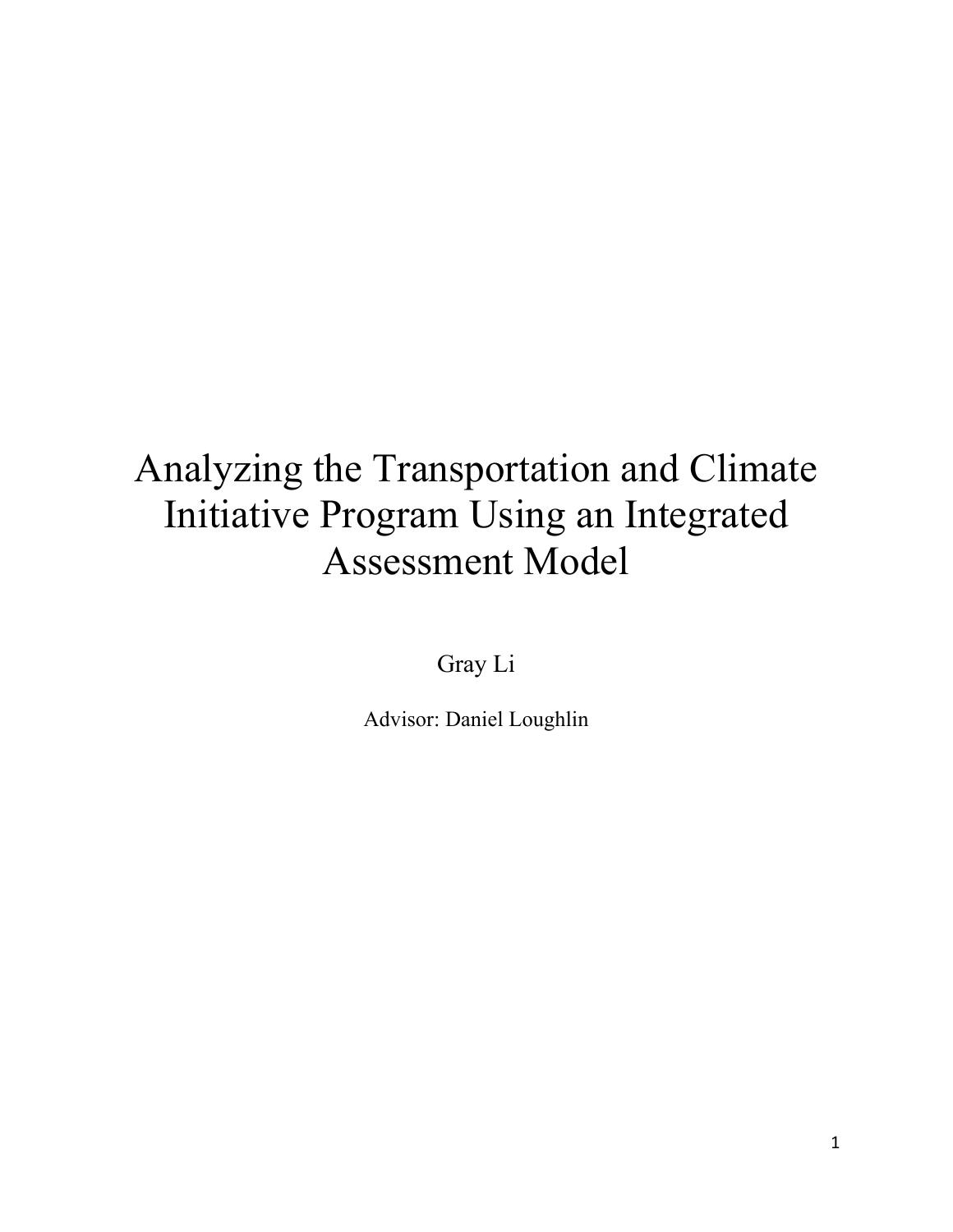# Analyzing the Transportation and Climate Initiative Program Using an Integrated Assessment Model

Gray Li

Advisor: Daniel Loughlin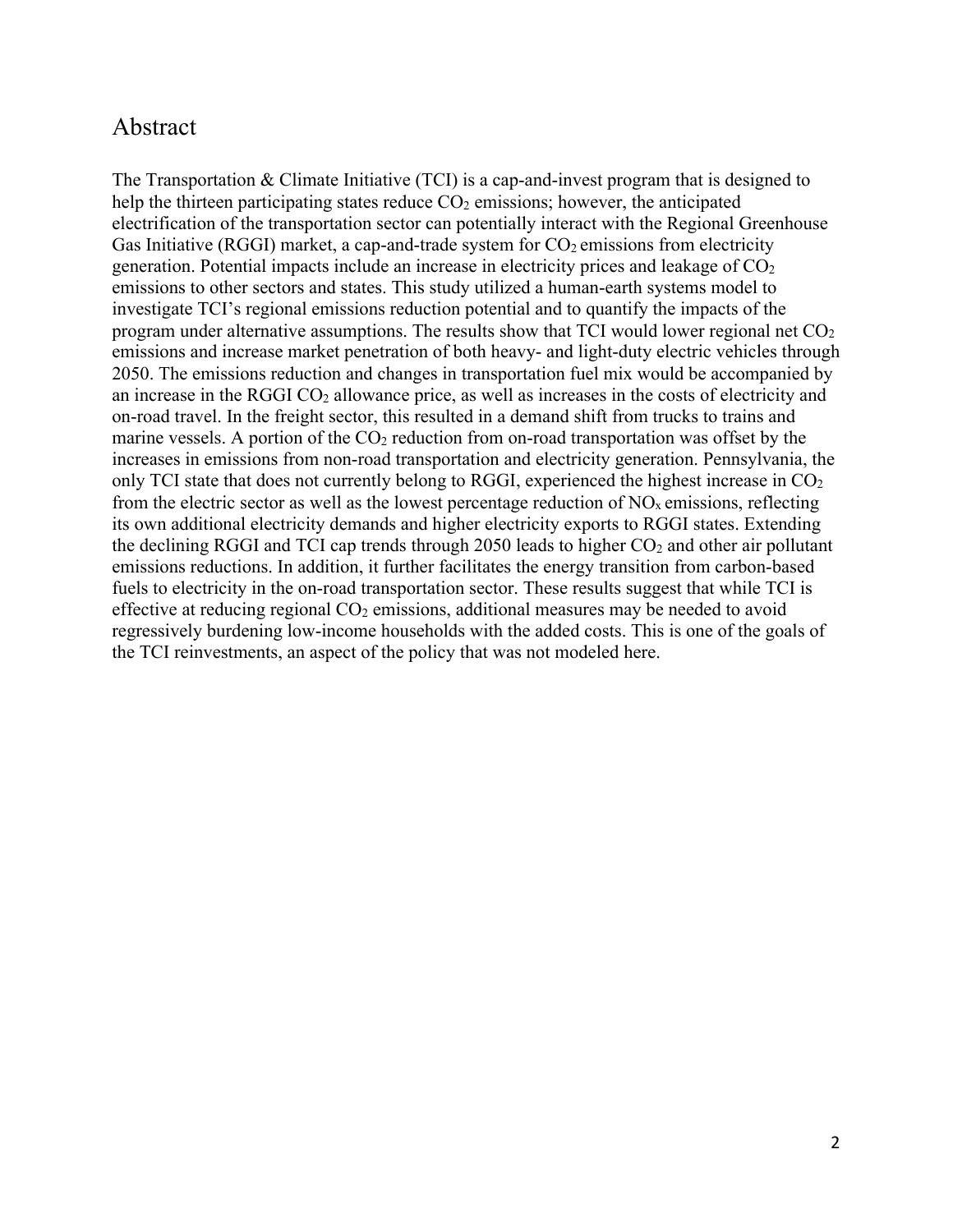# Abstract

The Transportation & Climate Initiative (TCI) is a cap-and-invest program that is designed to help the thirteen participating states reduce  $CO<sub>2</sub>$  emissions; however, the anticipated electrification of the transportation sector can potentially interact with the Regional Greenhouse Gas Initiative (RGGI) market, a cap-and-trade system for  $CO_2$  emissions from electricity generation. Potential impacts include an increase in electricity prices and leakage of  $CO<sub>2</sub>$ emissions to other sectors and states. This study utilized a human-earth systems model to investigate TCI's regional emissions reduction potential and to quantify the impacts of the program under alternative assumptions. The results show that TCI would lower regional net  $CO<sub>2</sub>$ emissions and increase market penetration of both heavy- and light-duty electric vehicles through 2050. The emissions reduction and changes in transportation fuel mix would be accompanied by an increase in the RGGI  $CO<sub>2</sub>$  allowance price, as well as increases in the costs of electricity and on-road travel. In the freight sector, this resulted in a demand shift from trucks to trains and marine vessels. A portion of the  $CO<sub>2</sub>$  reduction from on-road transportation was offset by the increases in emissions from non-road transportation and electricity generation. Pennsylvania, the only TCI state that does not currently belong to RGGI, experienced the highest increase in CO<sub>2</sub> from the electric sector as well as the lowest percentage reduction of  $NO<sub>x</sub>$  emissions, reflecting its own additional electricity demands and higher electricity exports to RGGI states. Extending the declining RGGI and TCI cap trends through  $2050$  leads to higher  $CO<sub>2</sub>$  and other air pollutant emissions reductions. In addition, it further facilitates the energy transition from carbon-based fuels to electricity in the on-road transportation sector. These results suggest that while TCI is effective at reducing regional  $CO<sub>2</sub>$  emissions, additional measures may be needed to avoid regressively burdening low-income households with the added costs. This is one of the goals of the TCI reinvestments, an aspect of the policy that was not modeled here.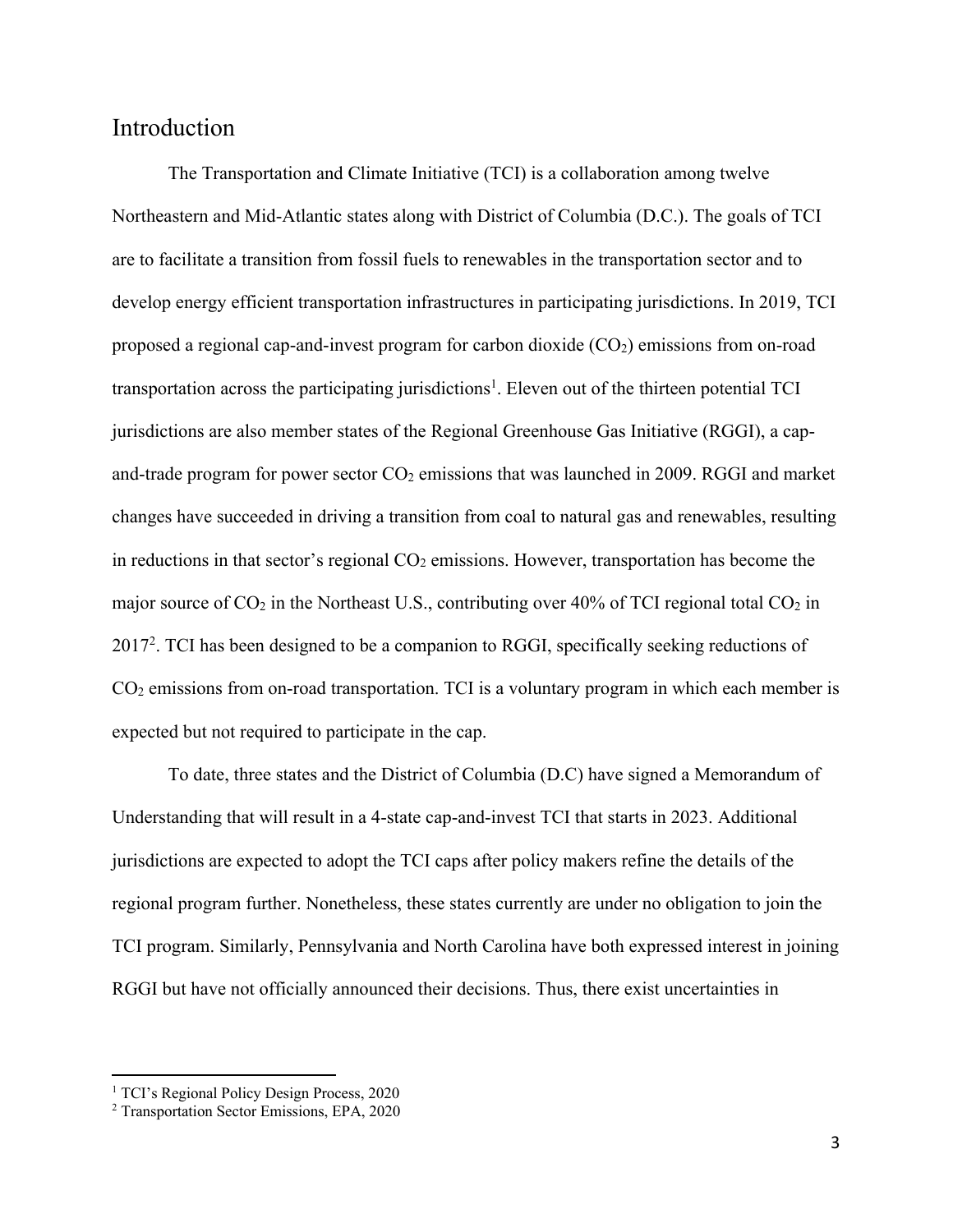### Introduction

The Transportation and Climate Initiative (TCI) is a collaboration among twelve Northeastern and Mid-Atlantic states along with District of Columbia (D.C.). The goals of TCI are to facilitate a transition from fossil fuels to renewables in the transportation sector and to develop energy efficient transportation infrastructures in participating jurisdictions. In 2019, TCI proposed a regional cap-and-invest program for carbon dioxide  $(CO<sub>2</sub>)$  emissions from on-road transportation across the participating jurisdictions<sup>1</sup>. Eleven out of the thirteen potential TCI jurisdictions are also member states of the Regional Greenhouse Gas Initiative (RGGI), a capand-trade program for power sector  $CO_2$  emissions that was launched in 2009. RGGI and market changes have succeeded in driving a transition from coal to natural gas and renewables, resulting in reductions in that sector's regional  $CO<sub>2</sub>$  emissions. However, transportation has become the major source of  $CO<sub>2</sub>$  in the Northeast U.S., contributing over 40% of TCI regional total  $CO<sub>2</sub>$  in 20172. TCI has been designed to be a companion to RGGI, specifically seeking reductions of CO2 emissions from on-road transportation. TCI is a voluntary program in which each member is expected but not required to participate in the cap.

To date, three states and the District of Columbia (D.C) have signed a Memorandum of Understanding that will result in a 4-state cap-and-invest TCI that starts in 2023. Additional jurisdictions are expected to adopt the TCI caps after policy makers refine the details of the regional program further. Nonetheless, these states currently are under no obligation to join the TCI program. Similarly, Pennsylvania and North Carolina have both expressed interest in joining RGGI but have not officially announced their decisions. Thus, there exist uncertainties in

<sup>&</sup>lt;sup>1</sup> TCI's Regional Policy Design Process, 2020

<sup>2</sup> Transportation Sector Emissions, EPA, 2020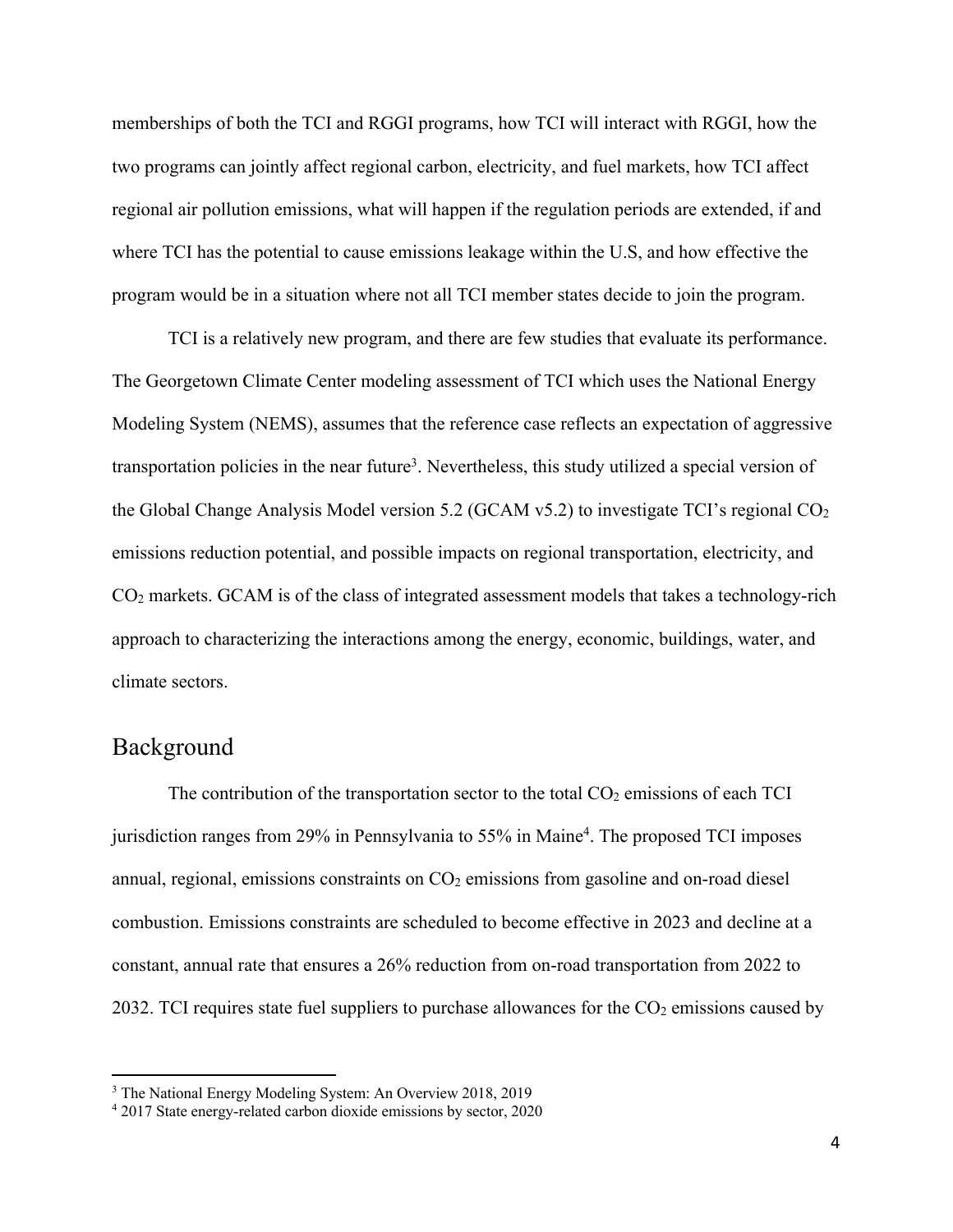memberships of both the TCI and RGGI programs, how TCI will interact with RGGI, how the two programs can jointly affect regional carbon, electricity, and fuel markets, how TCI affect regional air pollution emissions, what will happen if the regulation periods are extended, if and where TCI has the potential to cause emissions leakage within the U.S, and how effective the program would be in a situation where not all TCI member states decide to join the program.

TCI is a relatively new program, and there are few studies that evaluate its performance. The Georgetown Climate Center modeling assessment of TCI which uses the National Energy Modeling System (NEMS), assumes that the reference case reflects an expectation of aggressive transportation policies in the near future<sup>3</sup>. Nevertheless, this study utilized a special version of the Global Change Analysis Model version 5.2 (GCAM  $v5.2$ ) to investigate TCI's regional  $CO<sub>2</sub>$ emissions reduction potential, and possible impacts on regional transportation, electricity, and CO2 markets. GCAM is of the class of integrated assessment models that takes a technology-rich approach to characterizing the interactions among the energy, economic, buildings, water, and climate sectors.

## Background

The contribution of the transportation sector to the total  $CO<sub>2</sub>$  emissions of each TCI jurisdiction ranges from 29% in Pennsylvania to 55% in Maine<sup>4</sup>. The proposed TCI imposes annual, regional, emissions constraints on  $CO<sub>2</sub>$  emissions from gasoline and on-road diesel combustion. Emissions constraints are scheduled to become effective in 2023 and decline at a constant, annual rate that ensures a 26% reduction from on-road transportation from 2022 to 2032. TCI requires state fuel suppliers to purchase allowances for the  $CO<sub>2</sub>$  emissions caused by

<sup>3</sup> The National Energy Modeling System: An Overview 2018, 2019

<sup>4</sup> 2017 State energy-related carbon dioxide emissions by sector, 2020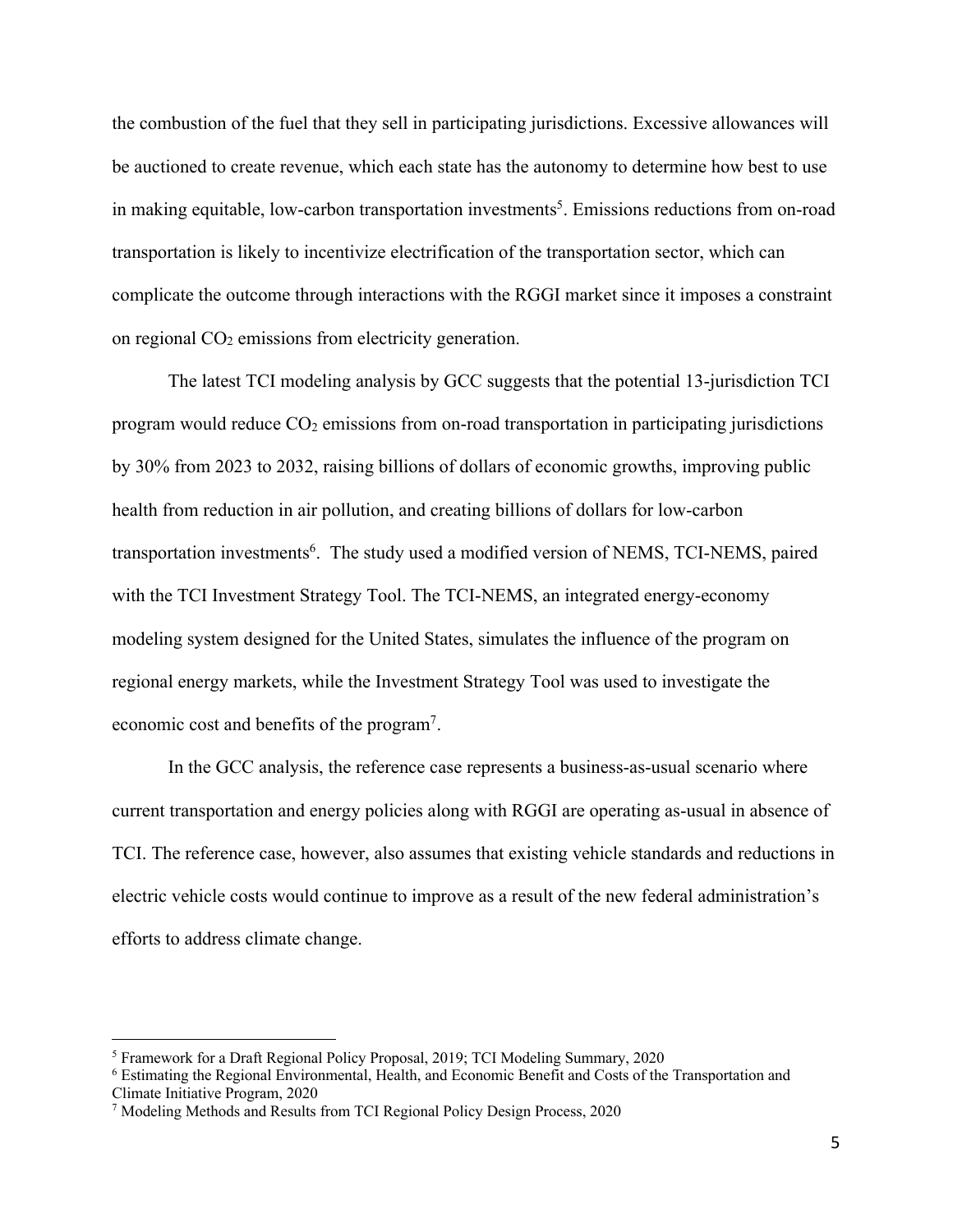the combustion of the fuel that they sell in participating jurisdictions. Excessive allowances will be auctioned to create revenue, which each state has the autonomy to determine how best to use in making equitable, low-carbon transportation investments<sup>5</sup>. Emissions reductions from on-road transportation is likely to incentivize electrification of the transportation sector, which can complicate the outcome through interactions with the RGGI market since it imposes a constraint on regional  $CO<sub>2</sub>$  emissions from electricity generation.

The latest TCI modeling analysis by GCC suggests that the potential 13-jurisdiction TCI program would reduce  $CO<sub>2</sub>$  emissions from on-road transportation in participating jurisdictions by 30% from 2023 to 2032, raising billions of dollars of economic growths, improving public health from reduction in air pollution, and creating billions of dollars for low-carbon transportation investments<sup>6</sup>. The study used a modified version of NEMS, TCI-NEMS, paired with the TCI Investment Strategy Tool. The TCI-NEMS, an integrated energy-economy modeling system designed for the United States, simulates the influence of the program on regional energy markets, while the Investment Strategy Tool was used to investigate the economic cost and benefits of the program7.

In the GCC analysis, the reference case represents a business-as-usual scenario where current transportation and energy policies along with RGGI are operating as-usual in absence of TCI. The reference case, however, also assumes that existing vehicle standards and reductions in electric vehicle costs would continue to improve as a result of the new federal administration's efforts to address climate change.

<sup>5</sup> Framework for a Draft Regional Policy Proposal, 2019; TCI Modeling Summary, 2020

<sup>6</sup> Estimating the Regional Environmental, Health, and Economic Benefit and Costs of the Transportation and Climate Initiative Program, 2020

<sup>7</sup> Modeling Methods and Results from TCI Regional Policy Design Process, 2020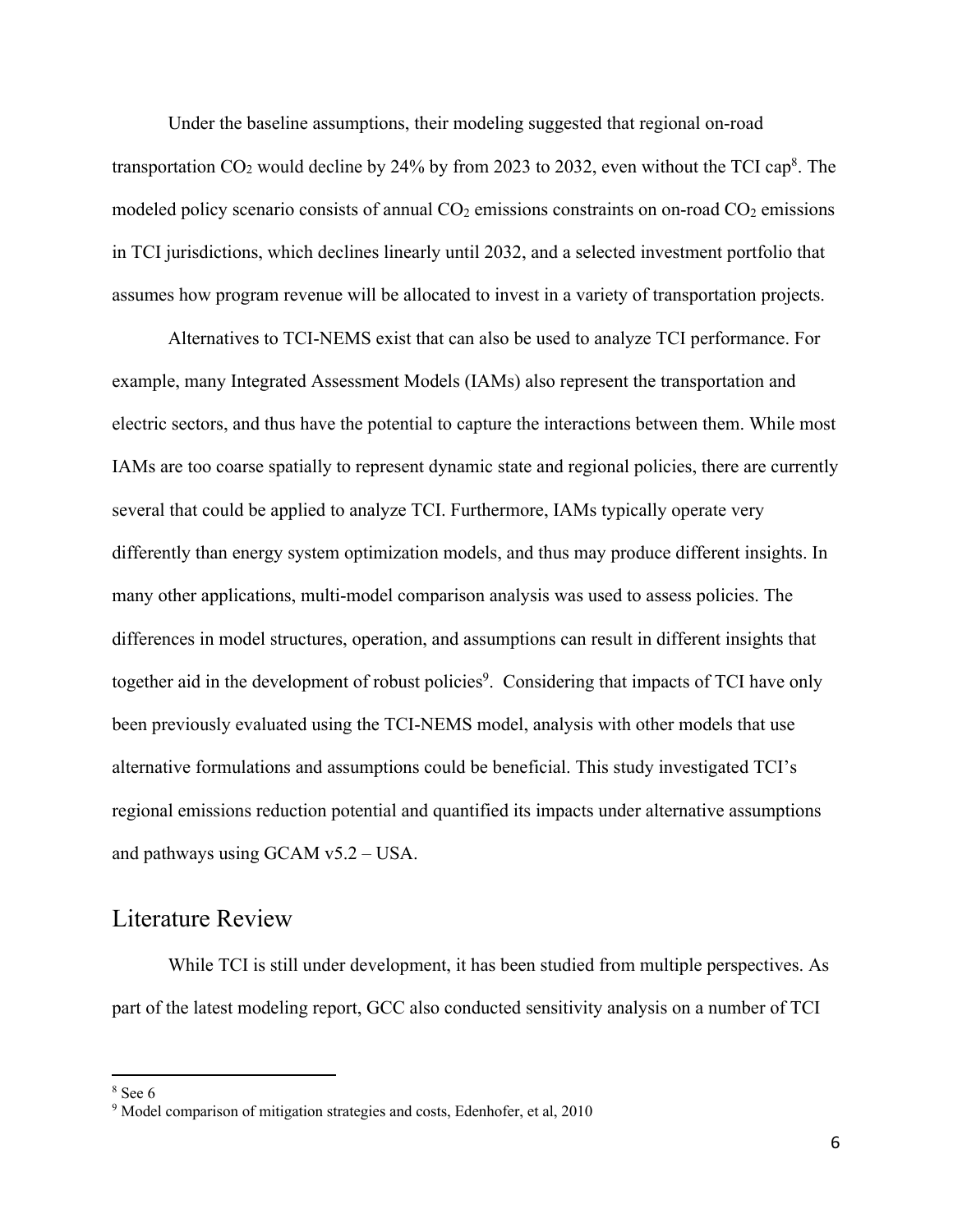Under the baseline assumptions, their modeling suggested that regional on-road transportation  $CO_2$  would decline by 24% by from 2023 to 2032, even without the TCI cap<sup>8</sup>. The modeled policy scenario consists of annual  $CO<sub>2</sub>$  emissions constraints on on-road  $CO<sub>2</sub>$  emissions in TCI jurisdictions, which declines linearly until 2032, and a selected investment portfolio that assumes how program revenue will be allocated to invest in a variety of transportation projects.

Alternatives to TCI-NEMS exist that can also be used to analyze TCI performance. For example, many Integrated Assessment Models (IAMs) also represent the transportation and electric sectors, and thus have the potential to capture the interactions between them. While most IAMs are too coarse spatially to represent dynamic state and regional policies, there are currently several that could be applied to analyze TCI. Furthermore, IAMs typically operate very differently than energy system optimization models, and thus may produce different insights. In many other applications, multi-model comparison analysis was used to assess policies. The differences in model structures, operation, and assumptions can result in different insights that together aid in the development of robust policies<sup>9</sup>. Considering that impacts of TCI have only been previously evaluated using the TCI-NEMS model, analysis with other models that use alternative formulations and assumptions could be beneficial. This study investigated TCI's regional emissions reduction potential and quantified its impacts under alternative assumptions and pathways using GCAM v5.2 – USA.

# Literature Review

While TCI is still under development, it has been studied from multiple perspectives. As part of the latest modeling report, GCC also conducted sensitivity analysis on a number of TCI

 $8$  See 6

<sup>&</sup>lt;sup>9</sup> Model comparison of mitigation strategies and costs, Edenhofer, et al, 2010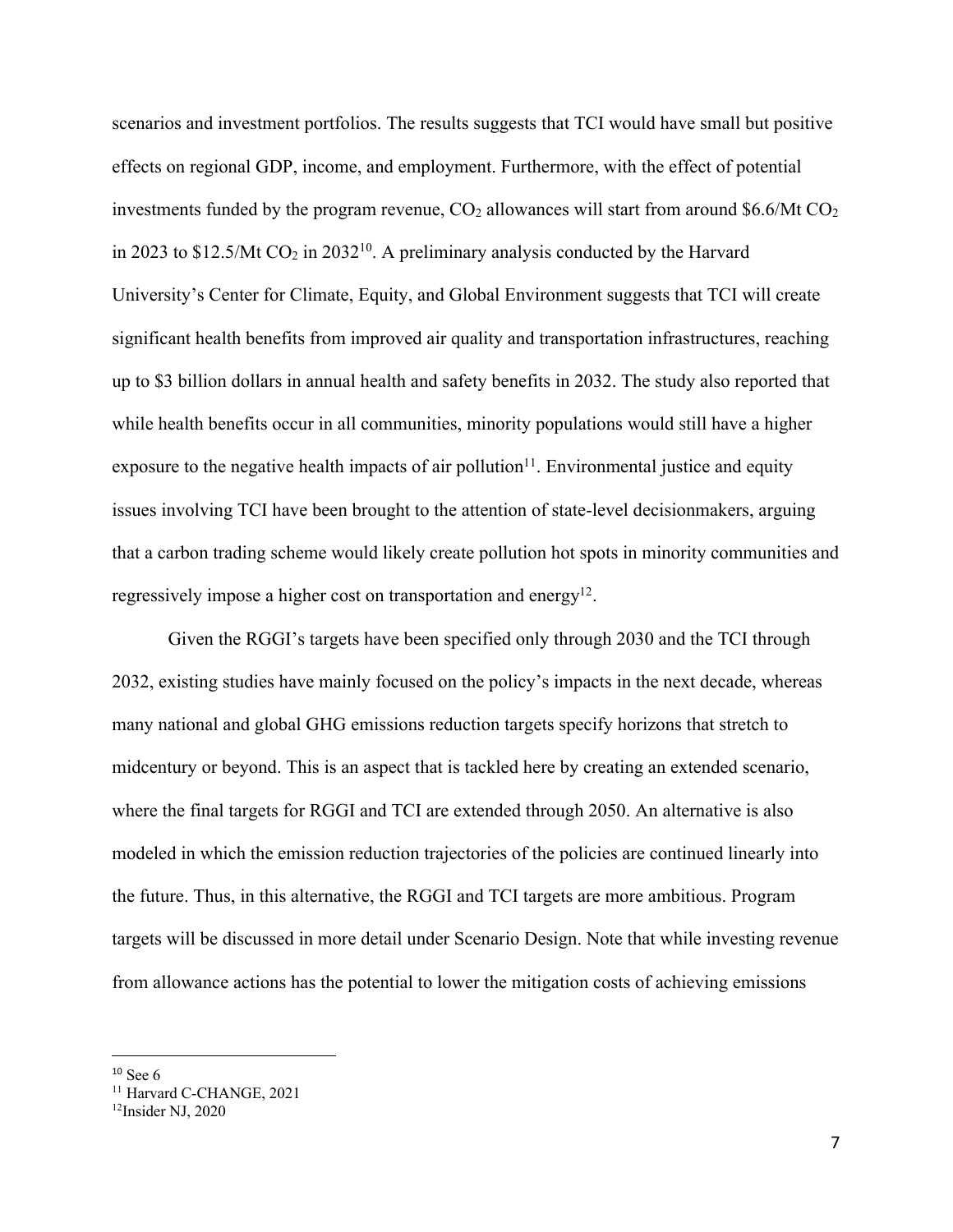scenarios and investment portfolios. The results suggests that TCI would have small but positive effects on regional GDP, income, and employment. Furthermore, with the effect of potential investments funded by the program revenue,  $CO<sub>2</sub>$  allowances will start from around \$6.6/Mt  $CO<sub>2</sub>$ in 2023 to \$12.5/Mt  $CO_2$  in 2032<sup>10</sup>. A preliminary analysis conducted by the Harvard University's Center for Climate, Equity, and Global Environment suggests that TCI will create significant health benefits from improved air quality and transportation infrastructures, reaching up to \$3 billion dollars in annual health and safety benefits in 2032. The study also reported that while health benefits occur in all communities, minority populations would still have a higher exposure to the negative health impacts of air pollution $11$ . Environmental justice and equity issues involving TCI have been brought to the attention of state-level decisionmakers, arguing that a carbon trading scheme would likely create pollution hot spots in minority communities and regressively impose a higher cost on transportation and energy<sup>12</sup>.

Given the RGGI's targets have been specified only through 2030 and the TCI through 2032, existing studies have mainly focused on the policy's impacts in the next decade, whereas many national and global GHG emissions reduction targets specify horizons that stretch to midcentury or beyond. This is an aspect that is tackled here by creating an extended scenario, where the final targets for RGGI and TCI are extended through 2050. An alternative is also modeled in which the emission reduction trajectories of the policies are continued linearly into the future. Thus, in this alternative, the RGGI and TCI targets are more ambitious. Program targets will be discussed in more detail under Scenario Design. Note that while investing revenue from allowance actions has the potential to lower the mitigation costs of achieving emissions

 $10$  See 6

<sup>&</sup>lt;sup>11</sup> Harvard C-CHANGE, 2021

<sup>12</sup>Insider NJ, 2020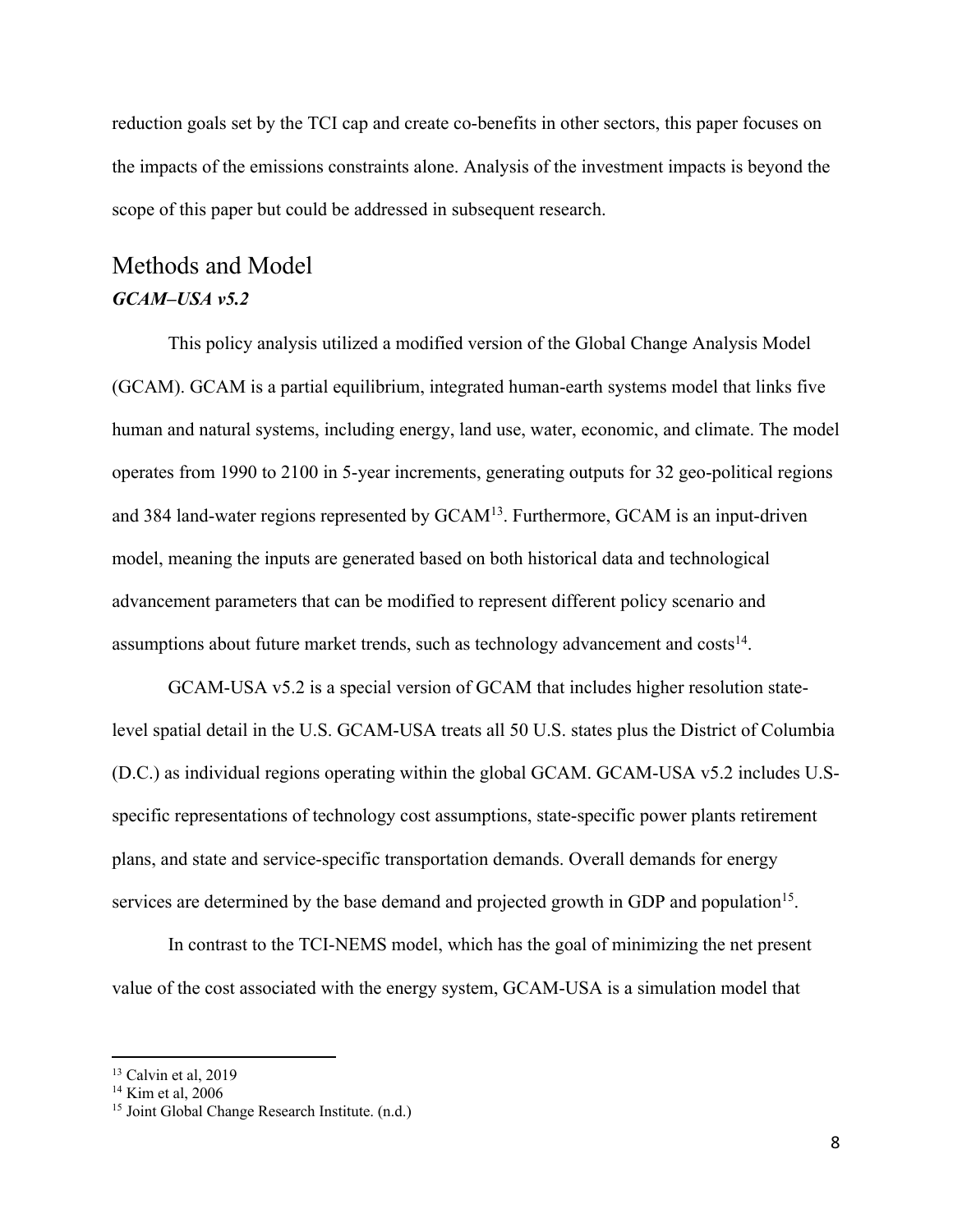reduction goals set by the TCI cap and create co-benefits in other sectors, this paper focuses on the impacts of the emissions constraints alone. Analysis of the investment impacts is beyond the scope of this paper but could be addressed in subsequent research.

# Methods and Model *GCAM–USA v5.2*

This policy analysis utilized a modified version of the Global Change Analysis Model (GCAM). GCAM is a partial equilibrium, integrated human-earth systems model that links five human and natural systems, including energy, land use, water, economic, and climate. The model operates from 1990 to 2100 in 5-year increments, generating outputs for 32 geo-political regions and 384 land-water regions represented by GCAM<sup>13</sup>. Furthermore, GCAM is an input-driven model, meaning the inputs are generated based on both historical data and technological advancement parameters that can be modified to represent different policy scenario and assumptions about future market trends, such as technology advancement and  $cost<sub>14</sub>$ .

GCAM-USA v5.2 is a special version of GCAM that includes higher resolution statelevel spatial detail in the U.S. GCAM-USA treats all 50 U.S. states plus the District of Columbia (D.C.) as individual regions operating within the global GCAM. GCAM-USA v5.2 includes U.Sspecific representations of technology cost assumptions, state-specific power plants retirement plans, and state and service-specific transportation demands. Overall demands for energy services are determined by the base demand and projected growth in GDP and population<sup>15</sup>.

In contrast to the TCI-NEMS model, which has the goal of minimizing the net present value of the cost associated with the energy system, GCAM-USA is a simulation model that

 $13$  Calvin et al, 2019

 $14$  Kim et al, 2006

<sup>&</sup>lt;sup>15</sup> Joint Global Change Research Institute. (n.d.)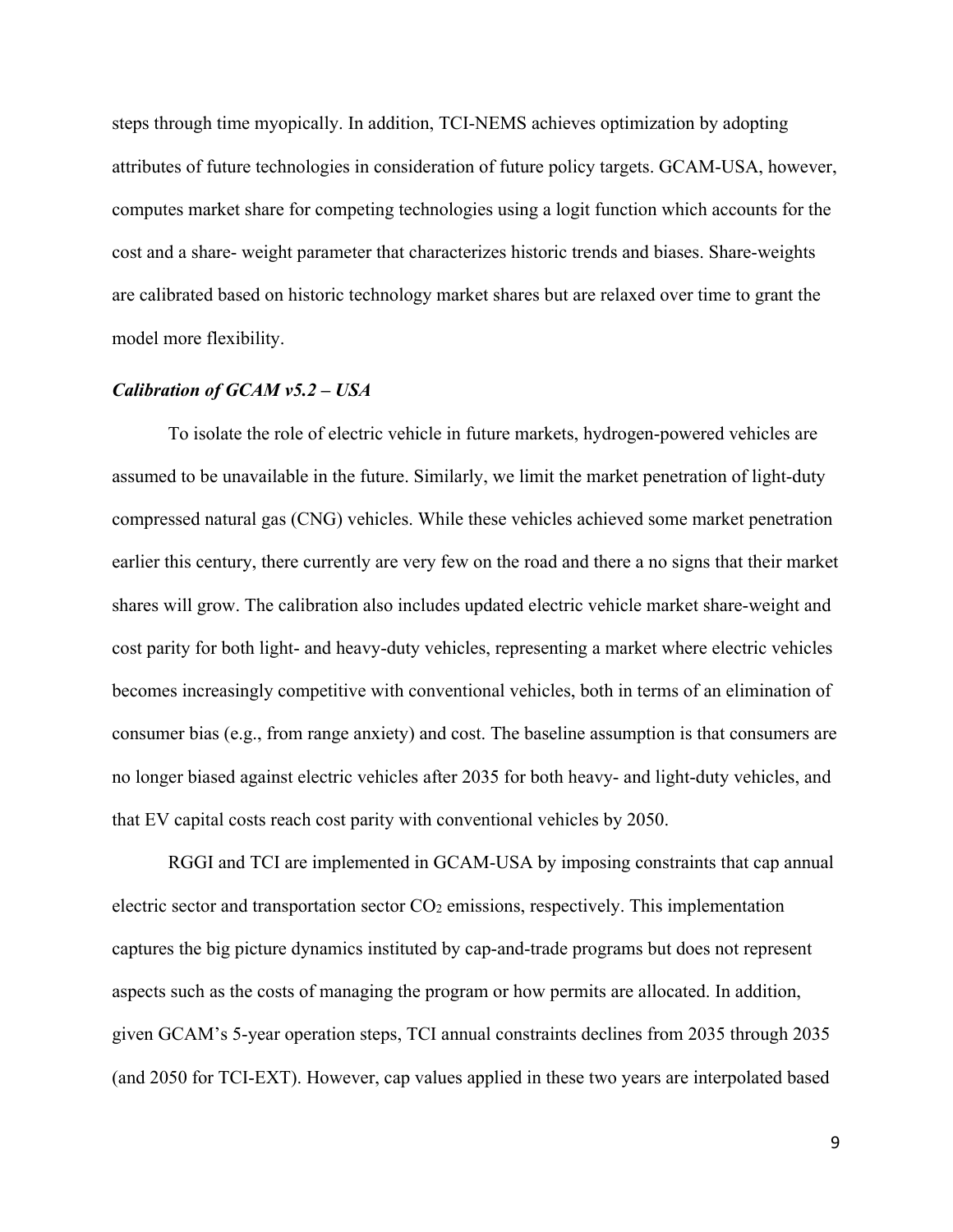steps through time myopically. In addition, TCI-NEMS achieves optimization by adopting attributes of future technologies in consideration of future policy targets. GCAM-USA, however, computes market share for competing technologies using a logit function which accounts for the cost and a share- weight parameter that characterizes historic trends and biases. Share-weights are calibrated based on historic technology market shares but are relaxed over time to grant the model more flexibility.

#### *Calibration of GCAM v5.2 – USA*

To isolate the role of electric vehicle in future markets, hydrogen-powered vehicles are assumed to be unavailable in the future. Similarly, we limit the market penetration of light-duty compressed natural gas (CNG) vehicles. While these vehicles achieved some market penetration earlier this century, there currently are very few on the road and there a no signs that their market shares will grow. The calibration also includes updated electric vehicle market share-weight and cost parity for both light- and heavy-duty vehicles, representing a market where electric vehicles becomes increasingly competitive with conventional vehicles, both in terms of an elimination of consumer bias (e.g., from range anxiety) and cost. The baseline assumption is that consumers are no longer biased against electric vehicles after 2035 for both heavy- and light-duty vehicles, and that EV capital costs reach cost parity with conventional vehicles by 2050.

RGGI and TCI are implemented in GCAM-USA by imposing constraints that cap annual electric sector and transportation sector  $CO<sub>2</sub>$  emissions, respectively. This implementation captures the big picture dynamics instituted by cap-and-trade programs but does not represent aspects such as the costs of managing the program or how permits are allocated. In addition, given GCAM's 5-year operation steps, TCI annual constraints declines from 2035 through 2035 (and 2050 for TCI-EXT). However, cap values applied in these two years are interpolated based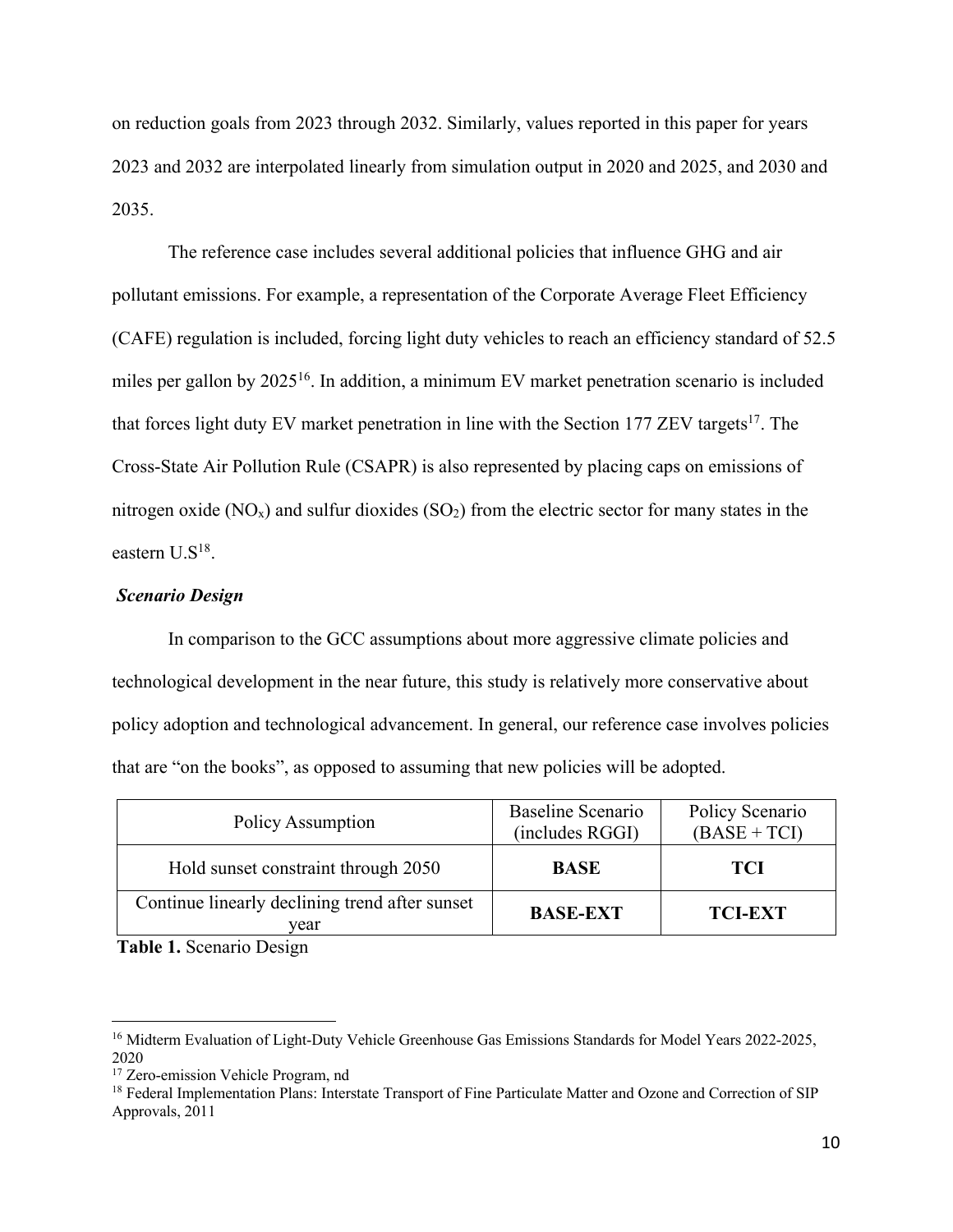on reduction goals from 2023 through 2032. Similarly, values reported in this paper for years 2023 and 2032 are interpolated linearly from simulation output in 2020 and 2025, and 2030 and 2035.

The reference case includes several additional policies that influence GHG and air pollutant emissions. For example, a representation of the Corporate Average Fleet Efficiency (CAFE) regulation is included, forcing light duty vehicles to reach an efficiency standard of 52.5 miles per gallon by 2025<sup>16</sup>. In addition, a minimum EV market penetration scenario is included that forces light duty EV market penetration in line with the Section 177 ZEV targets<sup>17</sup>. The Cross-State Air Pollution Rule (CSAPR) is also represented by placing caps on emissions of nitrogen oxide  $(NO_x)$  and sulfur dioxides  $(SO_2)$  from the electric sector for many states in the eastern  $U.S^{18}$ .

#### *Scenario Design*

In comparison to the GCC assumptions about more aggressive climate policies and technological development in the near future, this study is relatively more conservative about policy adoption and technological advancement. In general, our reference case involves policies that are "on the books", as opposed to assuming that new policies will be adopted.

| Policy Assumption                                      | Baseline Scenario<br>(includes RGGI) | Policy Scenario<br>$(BASE + TCI)$ |
|--------------------------------------------------------|--------------------------------------|-----------------------------------|
| Hold sunset constraint through 2050                    | <b>BASE</b>                          | <b>TCI</b>                        |
| Continue linearly declining trend after sunset<br>vear | <b>BASE-EXT</b>                      | <b>TCI-EXT</b>                    |

**Table 1.** Scenario Design

<sup>&</sup>lt;sup>16</sup> Midterm Evaluation of Light-Duty Vehicle Greenhouse Gas Emissions Standards for Model Years 2022-2025, 2020

<sup>&</sup>lt;sup>17</sup> Zero-emission Vehicle Program, nd

<sup>&</sup>lt;sup>18</sup> Federal Implementation Plans: Interstate Transport of Fine Particulate Matter and Ozone and Correction of SIP Approvals, 2011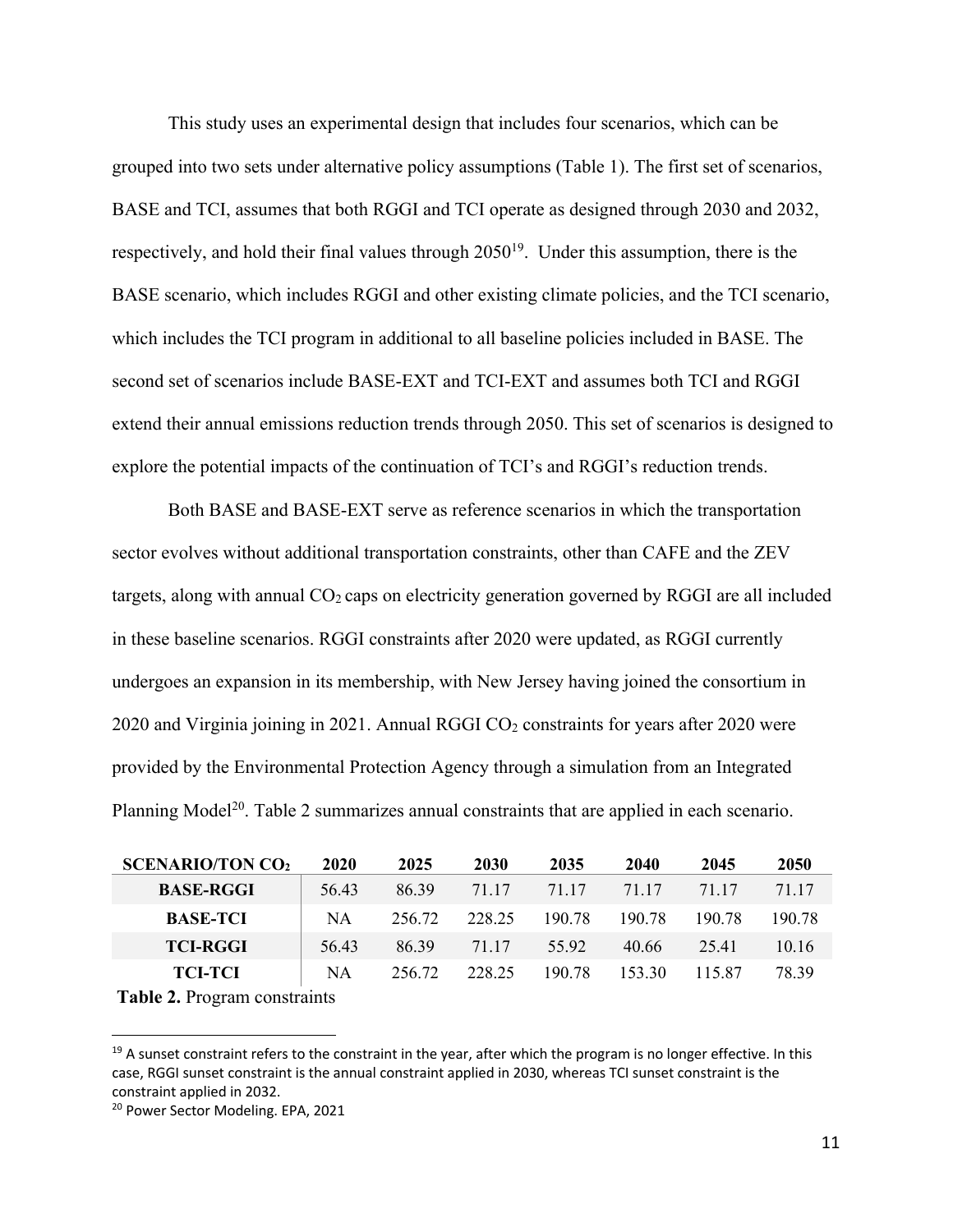This study uses an experimental design that includes four scenarios, which can be grouped into two sets under alternative policy assumptions (Table 1). The first set of scenarios, BASE and TCI, assumes that both RGGI and TCI operate as designed through 2030 and 2032, respectively, and hold their final values through 205019. Under this assumption, there is the BASE scenario, which includes RGGI and other existing climate policies, and the TCI scenario, which includes the TCI program in additional to all baseline policies included in BASE. The second set of scenarios include BASE-EXT and TCI-EXT and assumes both TCI and RGGI extend their annual emissions reduction trends through 2050. This set of scenarios is designed to explore the potential impacts of the continuation of TCI's and RGGI's reduction trends.

Both BASE and BASE-EXT serve as reference scenarios in which the transportation sector evolves without additional transportation constraints, other than CAFE and the ZEV targets, along with annual  $CO<sub>2</sub>$  caps on electricity generation governed by RGGI are all included in these baseline scenarios. RGGI constraints after 2020 were updated, as RGGI currently undergoes an expansion in its membership, with New Jersey having joined the consortium in 2020 and Virginia joining in 2021. Annual RGGI  $CO<sub>2</sub>$  constraints for years after 2020 were provided by the Environmental Protection Agency through a simulation from an Integrated Planning Model<sup>20</sup>. Table 2 summarizes annual constraints that are applied in each scenario.

| <b>SCENARIO/TON CO2</b>            | 2020      | 2025   | 2030   | 2035   | 2040   | 2045   | 2050   |
|------------------------------------|-----------|--------|--------|--------|--------|--------|--------|
| <b>BASE-RGGI</b>                   | 56.43     | 86.39  | 71.17  | 71.17  | 71.17  | 71.17  | 71.17  |
| <b>BASE-TCI</b>                    | <b>NA</b> | 256.72 | 228.25 | 190.78 | 190.78 | 190.78 | 190.78 |
| <b>TCI-RGGI</b>                    | 56.43     | 86.39  | 71.17  | 55.92  | 40.66  | 25.41  | 10.16  |
| <b>TCI-TCI</b>                     | NA        | 256.72 | 228.25 | 190.78 | 153.30 | 115.87 | 78.39  |
| <b>Tabla 7</b> Program constraints |           |        |        |        |        |        |        |

**Table 2.** Program constraints

 $19$  A sunset constraint refers to the constraint in the year, after which the program is no longer effective. In this case, RGGI sunset constraint is the annual constraint applied in 2030, whereas TCI sunset constraint is the constraint applied in 2032.

<sup>&</sup>lt;sup>20</sup> Power Sector Modeling. EPA, 2021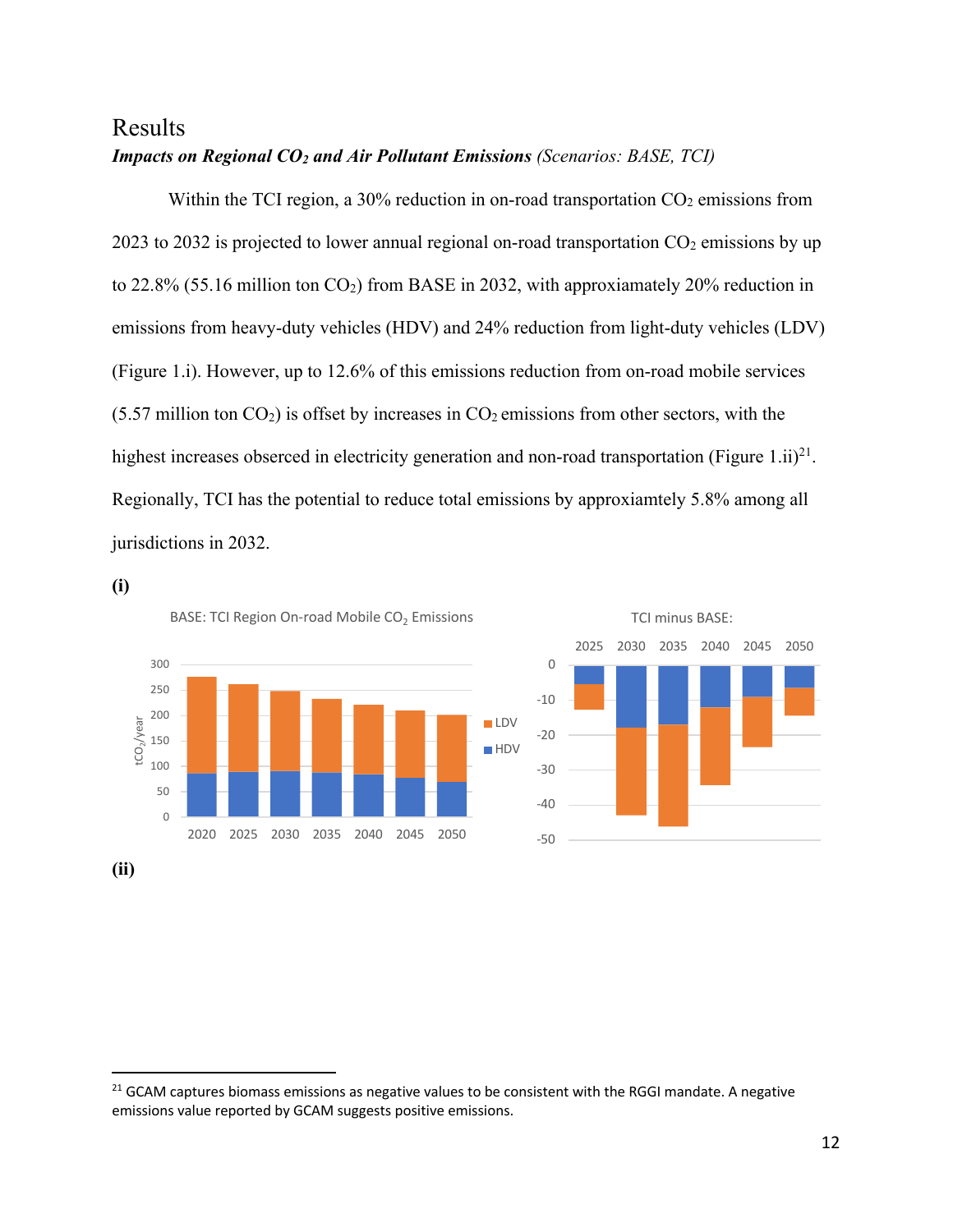# Results *Impacts on Regional CO2 and Air Pollutant Emissions (Scenarios: BASE, TCI)*

Within the TCI region, a 30% reduction in on-road transportation  $CO<sub>2</sub>$  emissions from 2023 to 2032 is projected to lower annual regional on-road transportation CO2 emissions by up to 22.8% (55.16 million ton  $CO<sub>2</sub>$ ) from BASE in 2032, with approxiamately 20% reduction in emissions from heavy-duty vehicles (HDV) and 24% reduction from light-duty vehicles (LDV) (Figure 1.i). However, up to 12.6% of this emissions reduction from on-road mobile services  $(5.57$  million ton  $CO<sub>2</sub>$ ) is offset by increases in  $CO<sub>2</sub>$  emissions from other sectors, with the highest increases obserced in electricity generation and non-road transportation (Figure 1.ii)<sup>21</sup>. Regionally, TCI has the potential to reduce total emissions by approxiamtely 5.8% among all jurisdictions in 2032.

**(i)**





 $21$  GCAM captures biomass emissions as negative values to be consistent with the RGGI mandate. A negative emissions value reported by GCAM suggests positive emissions.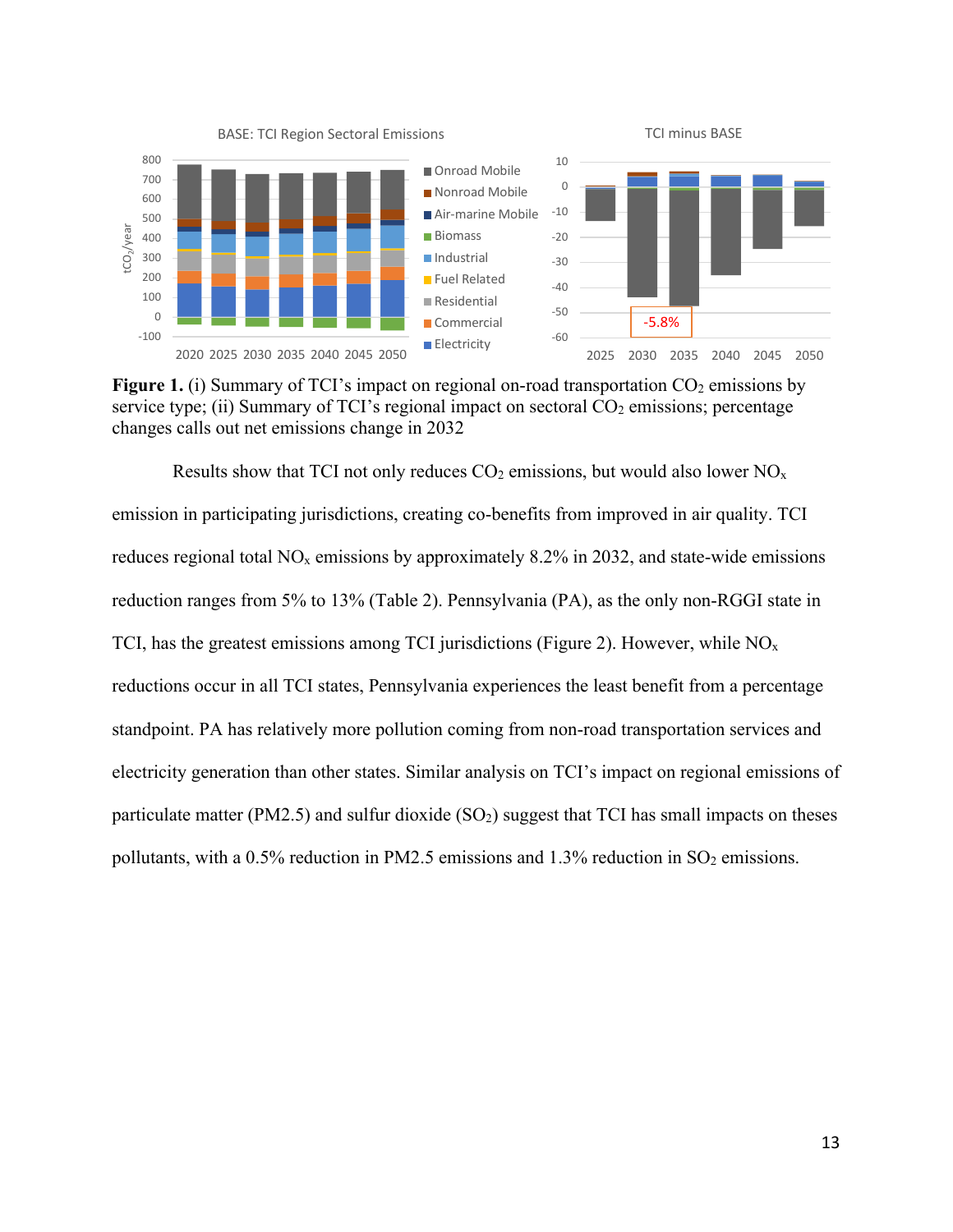

**Figure 1.** (i) Summary of TCI's impact on regional on-road transportation CO<sub>2</sub> emissions by service type; (ii) Summary of TCI's regional impact on sectoral  $CO<sub>2</sub>$  emissions; percentage changes calls out net emissions change in 2032

Results show that TCI not only reduces  $CO_2$  emissions, but would also lower  $NO<sub>x</sub>$ emission in participating jurisdictions, creating co-benefits from improved in air quality. TCI reduces regional total  $NO<sub>x</sub>$  emissions by approximately 8.2% in 2032, and state-wide emissions reduction ranges from 5% to 13% (Table 2). Pennsylvania (PA), as the only non-RGGI state in TCI, has the greatest emissions among TCI jurisdictions (Figure 2). However, while  $NO<sub>x</sub>$ reductions occur in all TCI states, Pennsylvania experiences the least benefit from a percentage standpoint. PA has relatively more pollution coming from non-road transportation services and electricity generation than other states. Similar analysis on TCI's impact on regional emissions of particulate matter (PM2.5) and sulfur dioxide  $(SO<sub>2</sub>)$  suggest that TCI has small impacts on theses pollutants, with a 0.5% reduction in PM2.5 emissions and 1.3% reduction in  $SO_2$  emissions.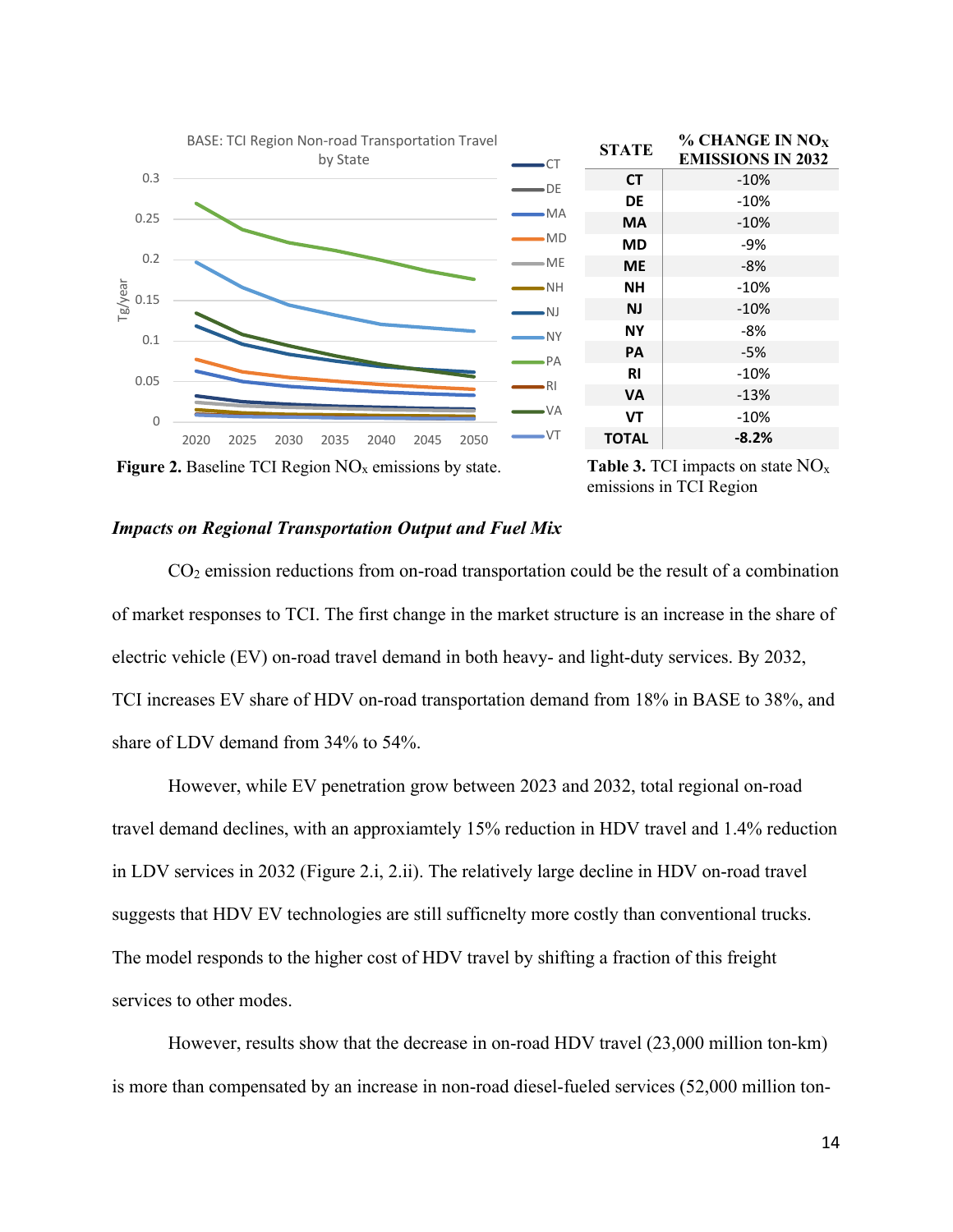

**Figure 2.** Baseline TCI Region  $NO<sub>x</sub>$  emissions by state.

Table 3. TCI impacts on state NO<sub>x</sub> emissions in TCI Region

#### *Impacts on Regional Transportation Output and Fuel Mix*

 $CO<sub>2</sub>$  emission reductions from on-road transportation could be the result of a combination of market responses to TCI. The first change in the market structure is an increase in the share of electric vehicle (EV) on-road travel demand in both heavy- and light-duty services. By 2032, TCI increases EV share of HDV on-road transportation demand from 18% in BASE to 38%, and share of LDV demand from 34% to 54%.

However, while EV penetration grow between 2023 and 2032, total regional on-road travel demand declines, with an approxiamtely 15% reduction in HDV travel and 1.4% reduction in LDV services in 2032 (Figure 2.i, 2.ii). The relatively large decline in HDV on-road travel suggests that HDV EV technologies are still sufficnelty more costly than conventional trucks. The model responds to the higher cost of HDV travel by shifting a fraction of this freight services to other modes.

However, results show that the decrease in on-road HDV travel (23,000 million ton-km) is more than compensated by an increase in non-road diesel-fueled services (52,000 million ton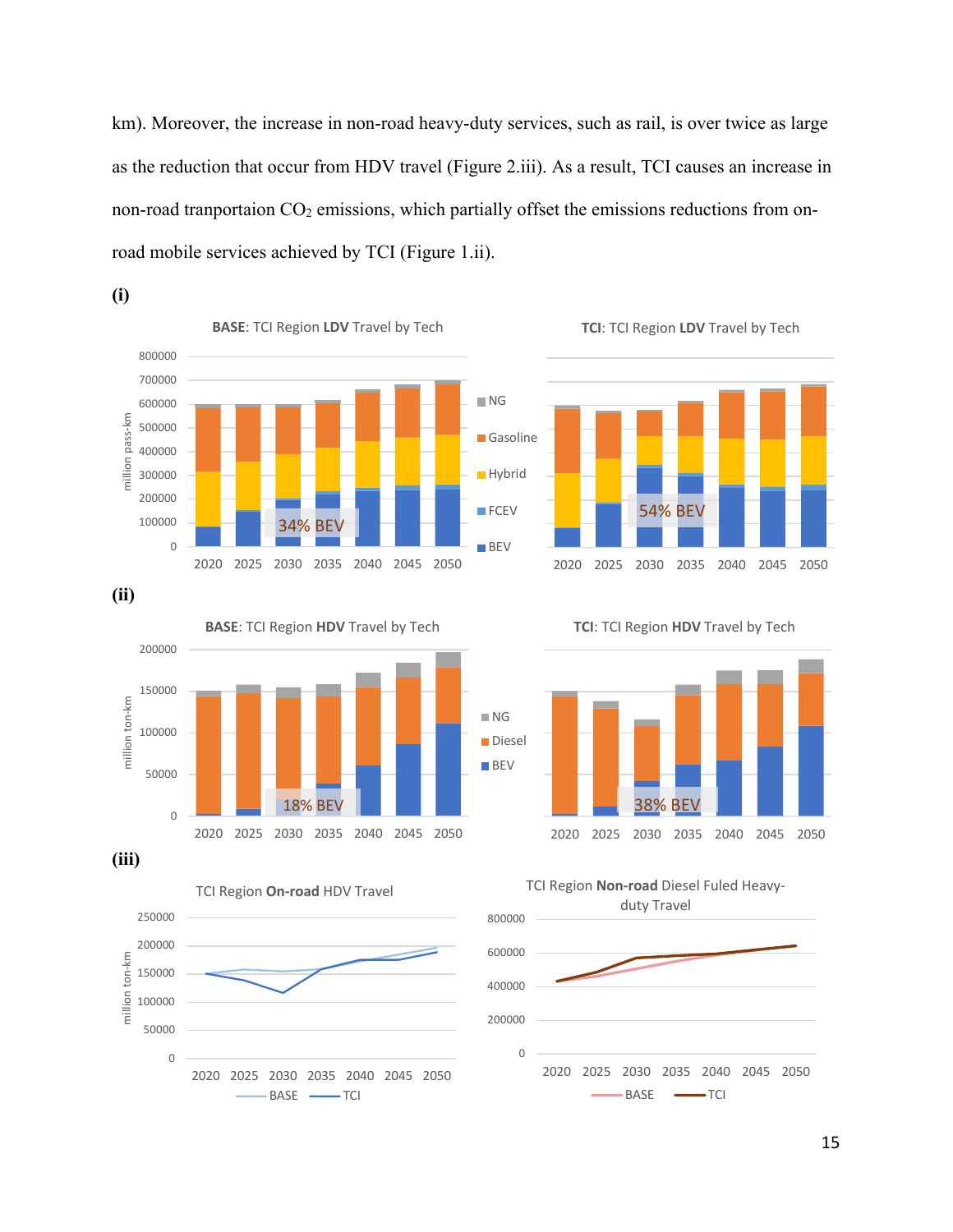km). Moreover, the increase in non-road heavy-duty services, such as rail, is over twice as large as the reduction that occur from HDV travel (Figure 2.iii). As a result, TCI causes an increase in non-road tranportaion  $CO<sub>2</sub>$  emissions, which partially offset the emissions reductions from onroad mobile services achieved by TCI (Figure 1.ii).







**(ii)**

**(iii)**







**TCI**: TCI Region **HDV** Travel by Tech



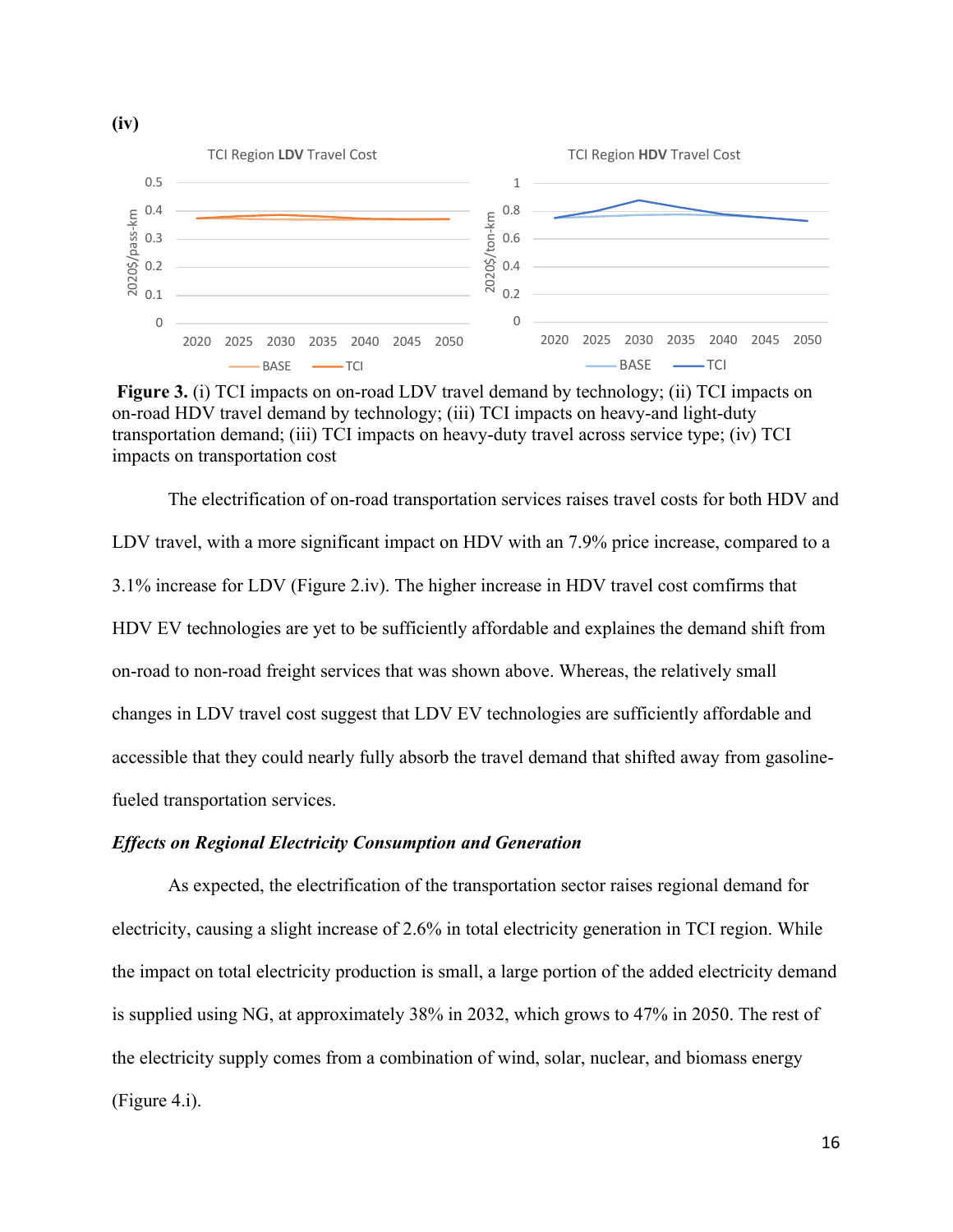

Figure 3. (i) TCI impacts on on-road LDV travel demand by technology; (ii) TCI impacts on on-road HDV travel demand by technology; (iii) TCI impacts on heavy-and light-duty transportation demand; (iii) TCI impacts on heavy-duty travel across service type; (iv) TCI impacts on transportation cost

The electrification of on-road transportation services raises travel costs for both HDV and LDV travel, with a more significant impact on HDV with an 7.9% price increase, compared to a 3.1% increase for LDV (Figure 2.iv). The higher increase in HDV travel cost comfirms that HDV EV technologies are yet to be sufficiently affordable and explaines the demand shift from on-road to non-road freight services that was shown above. Whereas, the relatively small changes in LDV travel cost suggest that LDV EV technologies are sufficiently affordable and accessible that they could nearly fully absorb the travel demand that shifted away from gasolinefueled transportation services.

#### *Effects on Regional Electricity Consumption and Generation*

As expected, the electrification of the transportation sector raises regional demand for electricity, causing a slight increase of 2.6% in total electricity generation in TCI region. While the impact on total electricity production is small, a large portion of the added electricity demand is supplied using NG, at approximately 38% in 2032, which grows to 47% in 2050. The rest of the electricity supply comes from a combination of wind, solar, nuclear, and biomass energy (Figure 4.i).

**(iv)**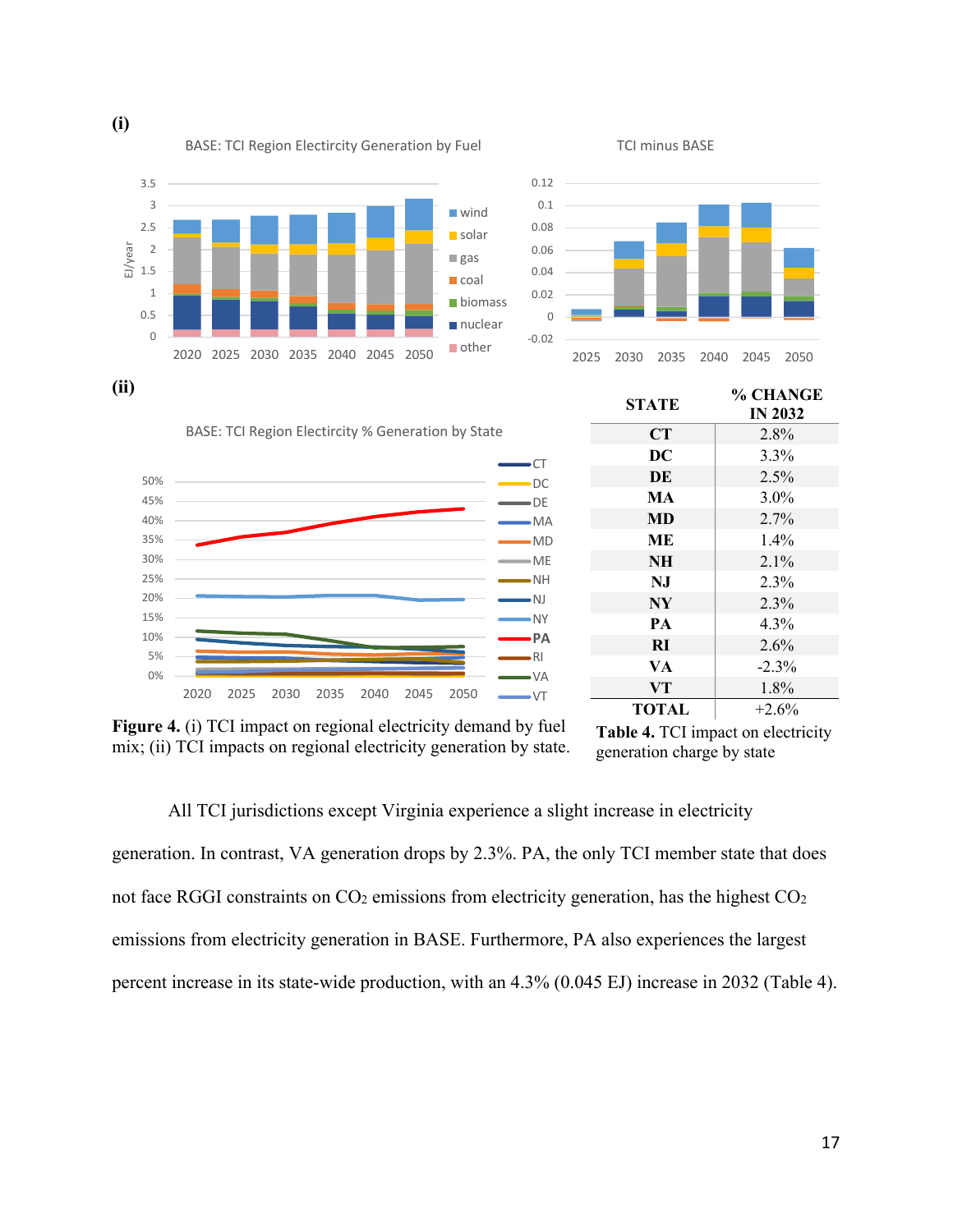

**(i)** 

0 0.02 0.04 0.06 0.08 0.1 0.12 2025 2030 2035 2040 2045 2050

TCI minus BASE

0% 5% 10% 15% 20% 25% 30% 35% 40% 45% 50% 2020 2025 2030 2035 2040 2045 2050  $\overline{\text{CT}}$ DC DE MA ME NH NJ RI VA  $\rightarrow$ VT

BASE: TCI Region Electircity % Generation by State

**STATE % CHANGE IN 2032 CT** 2.8% **DC** 3.3% **DE** 2.5% **MA** 3.0% **MD** 2.7% **ME** 1.4% **NH** 2.1% **NJ** 2.3% **NY** 2.3% **PA** 4.3% **RI** 2.6%  $VA$   $-2.3\%$ **VT** 1.8%

**Figure 4.** (i) TCI impact on regional electricity demand by fuel mix; (ii) TCI impacts on regional electricity generation by state.

All TCI jurisdictions except Virginia experience a slight increase in electricity generation. In contrast, VA generation drops by 2.3%. PA, the only TCI member state that does not face RGGI constraints on  $CO<sub>2</sub>$  emissions from electricity generation, has the highest  $CO<sub>2</sub>$ emissions from electricity generation in BASE. Furthermore, PA also experiences the largest percent increase in its state-wide production, with an 4.3% (0.045 EJ) increase in 2032 (Table 4).

**TOTAL** +2.6%



MD

**Table 4.** TCI impact on electricity generation charge by state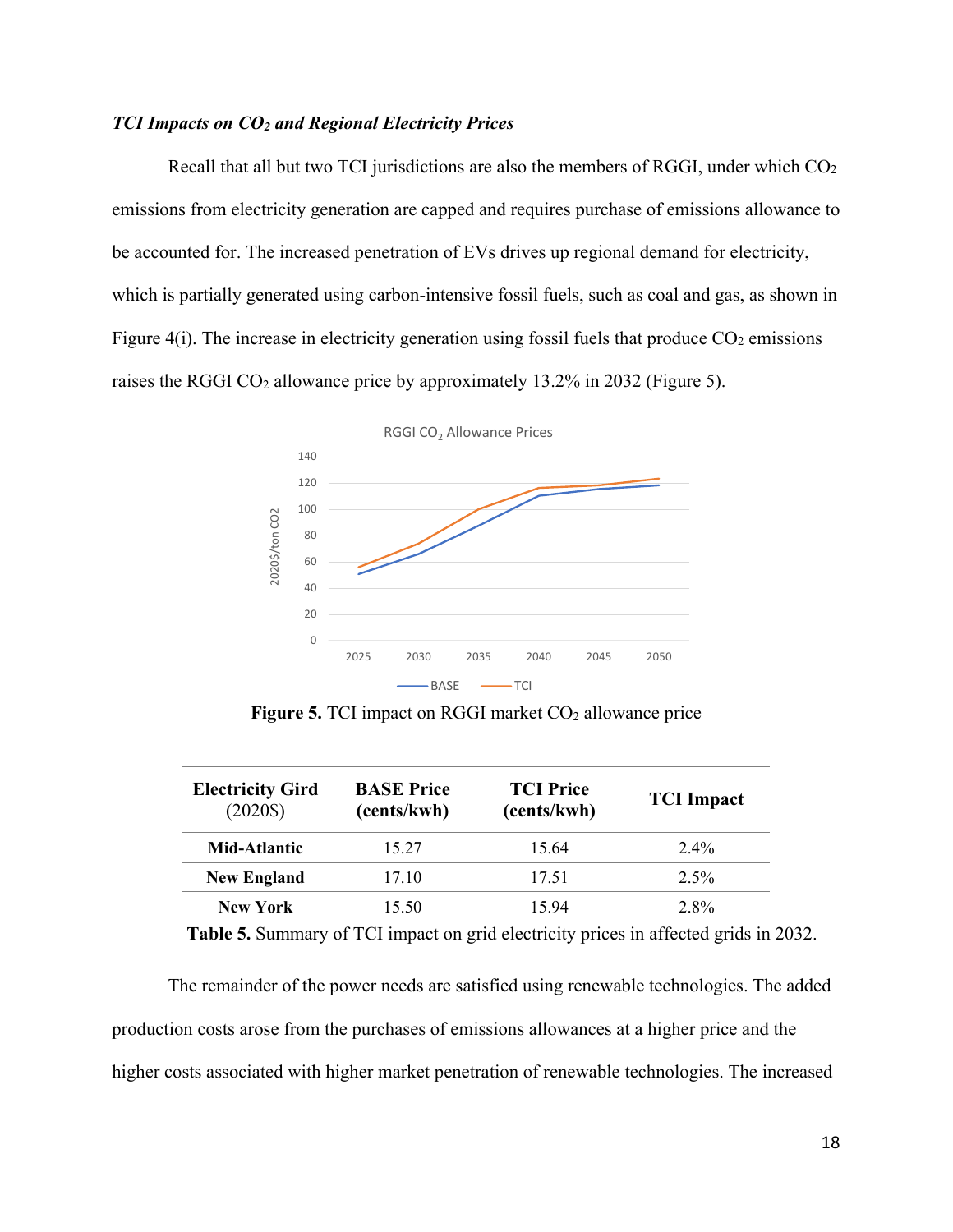#### *TCI Impacts on CO2 and Regional Electricity Prices*

Recall that all but two TCI jurisdictions are also the members of RGGI, under which  $CO<sub>2</sub>$ emissions from electricity generation are capped and requires purchase of emissions allowance to be accounted for. The increased penetration of EVs drives up regional demand for electricity, which is partially generated using carbon-intensive fossil fuels, such as coal and gas, as shown in Figure 4(i). The increase in electricity generation using fossil fuels that produce  $CO<sub>2</sub>$  emissions raises the RGGI  $CO<sub>2</sub>$  allowance price by approximately 13.2% in 2032 (Figure 5).



**Figure 5.** TCI impact on RGGI market CO<sub>2</sub> allowance price

| <b>Electricity Gird</b><br>$(2020\$ | <b>BASE Price</b><br>(cents/kwh) | <b>TCI Price</b><br>(cents/kwh) | <b>TCI</b> Impact |
|-------------------------------------|----------------------------------|---------------------------------|-------------------|
| Mid-Atlantic                        | 15.27                            | 15.64                           | $2.4\%$           |
| <b>New England</b>                  | 17.10                            | 17.51                           | $2.5\%$           |
| New York                            | 15.50                            | 15.94                           | $2.8\%$           |

 **Table 5.** Summary of TCI impact on grid electricity prices in affected grids in 2032.

The remainder of the power needs are satisfied using renewable technologies. The added production costs arose from the purchases of emissions allowances at a higher price and the higher costs associated with higher market penetration of renewable technologies. The increased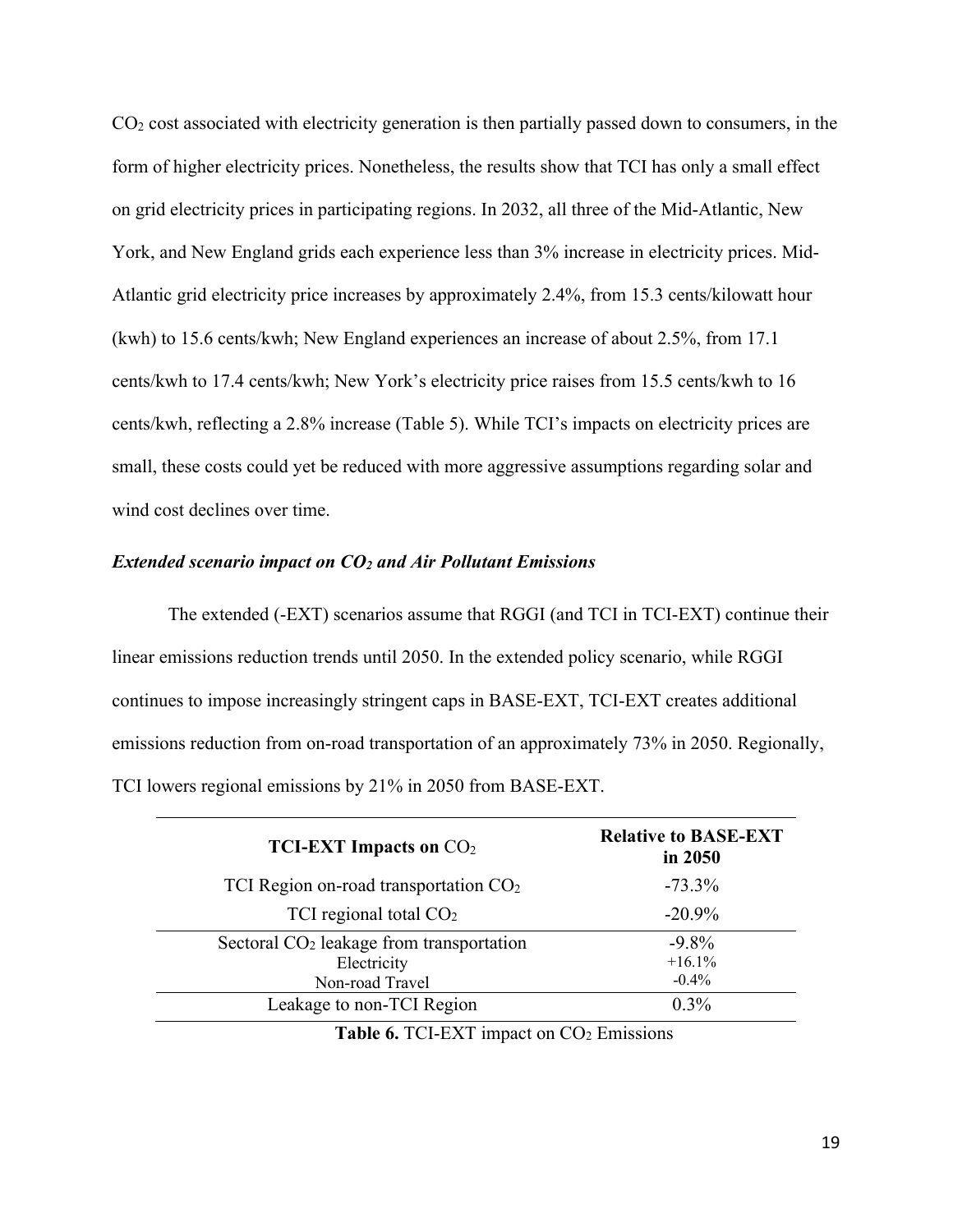$CO<sub>2</sub>$  cost associated with electricity generation is then partially passed down to consumers, in the form of higher electricity prices. Nonetheless, the results show that TCI has only a small effect on grid electricity prices in participating regions. In 2032, all three of the Mid-Atlantic, New York, and New England grids each experience less than 3% increase in electricity prices. Mid-Atlantic grid electricity price increases by approximately 2.4%, from 15.3 cents/kilowatt hour (kwh) to 15.6 cents/kwh; New England experiences an increase of about 2.5%, from 17.1 cents/kwh to 17.4 cents/kwh; New York's electricity price raises from 15.5 cents/kwh to 16 cents/kwh, reflecting a 2.8% increase (Table 5). While TCI's impacts on electricity prices are small, these costs could yet be reduced with more aggressive assumptions regarding solar and wind cost declines over time.

#### *Extended scenario impact on CO2 and Air Pollutant Emissions*

The extended (-EXT) scenarios assume that RGGI (and TCI in TCI-EXT) continue their linear emissions reduction trends until 2050. In the extended policy scenario, while RGGI continues to impose increasingly stringent caps in BASE-EXT, TCI-EXT creates additional emissions reduction from on-road transportation of an approximately 73% in 2050. Regionally, TCI lowers regional emissions by 21% in 2050 from BASE-EXT.

| <b>TCI-EXT Impacts on <math>CO2</math></b> | <b>Relative to BASE-EXT</b><br>in 2050 |
|--------------------------------------------|----------------------------------------|
| TCI Region on-road transportation $CO2$    | $-73.3\%$                              |
| TCI regional total $CO2$                   | $-20.9\%$                              |
| Sectoral $CO2$ leakage from transportation | $-9.8\%$                               |
| Electricity                                | $+16.1%$                               |
| Non-road Travel                            | $-0.4%$                                |
| Leakage to non-TCI Region                  | $0.3\%$                                |

**Table 6. TCI-EXT impact on CO<sub>2</sub> Emissions**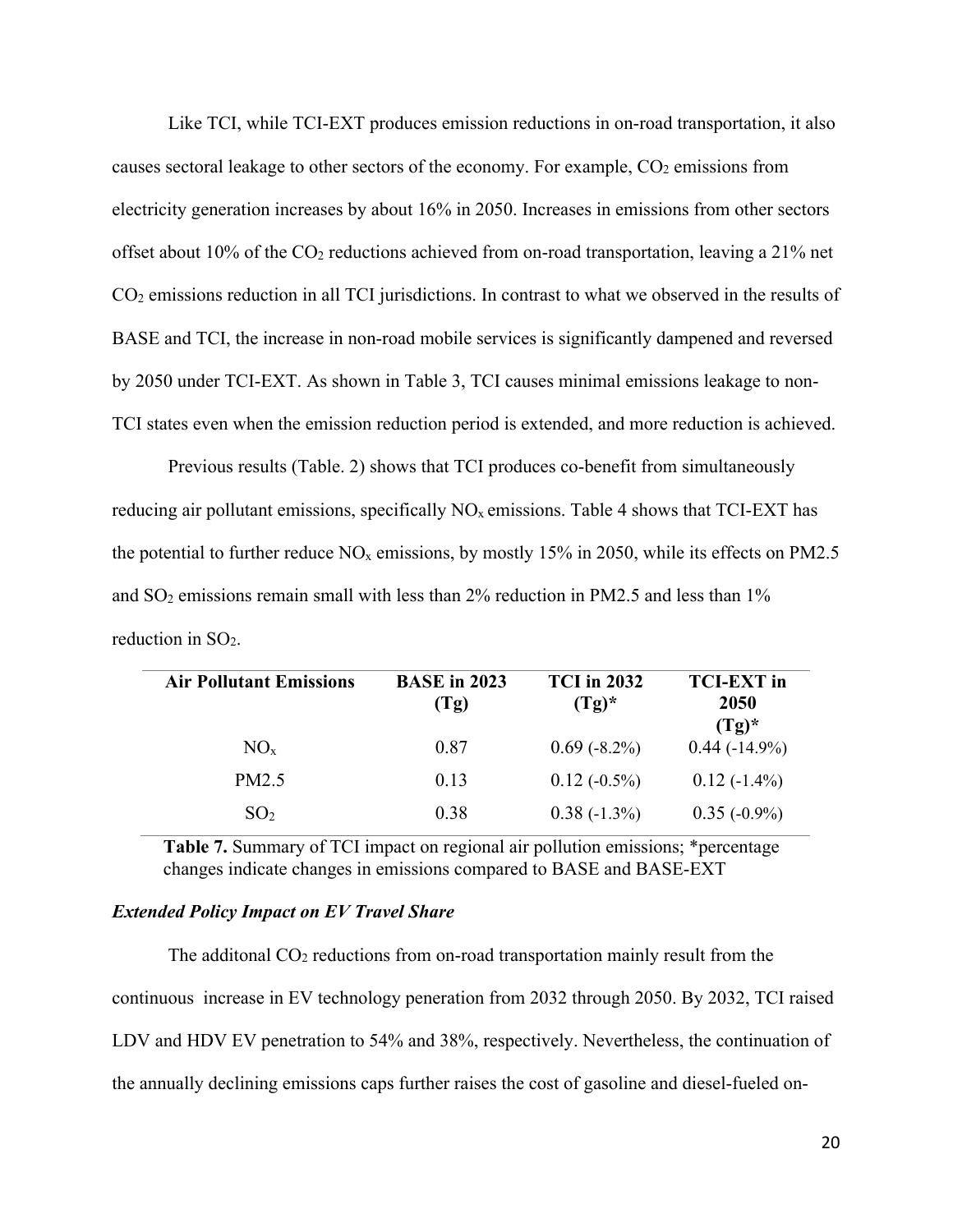Like TCI, while TCI-EXT produces emission reductions in on-road transportation, it also causes sectoral leakage to other sectors of the economy. For example,  $CO<sub>2</sub>$  emissions from electricity generation increases by about 16% in 2050. Increases in emissions from other sectors offset about 10% of the  $CO<sub>2</sub>$  reductions achieved from on-road transportation, leaving a 21% net CO2 emissions reduction in all TCI jurisdictions. In contrast to what we observed in the results of BASE and TCI, the increase in non-road mobile services is significantly dampened and reversed by 2050 under TCI-EXT. As shown in Table 3, TCI causes minimal emissions leakage to non-TCI states even when the emission reduction period is extended, and more reduction is achieved.

Previous results (Table. 2) shows that TCI produces co-benefit from simultaneously reducing air pollutant emissions, specifically  $NO<sub>x</sub>$  emissions. Table 4 shows that TCI-EXT has the potential to further reduce  $NO<sub>x</sub>$  emissions, by mostly 15% in 2050, while its effects on PM2.5 and SO2 emissions remain small with less than 2% reduction in PM2.5 and less than 1% reduction in  $SO<sub>2</sub>$ .

| <b>Air Pollutant Emissions</b> | <b>BASE</b> in 2023<br>(Tg) | <b>TCI</b> in 2032<br>$(Tg)^*$ | <b>TCI-EXT</b> in<br>2050<br>$(Tg)^*$ |
|--------------------------------|-----------------------------|--------------------------------|---------------------------------------|
| $NO_{x}$                       | 0.87                        | $0.69(-8.2\%)$                 | $0.44(-14.9\%)$                       |
| PM2.5                          | 0.13                        | $0.12(-0.5\%)$                 | $0.12(-1.4\%)$                        |
| SO <sub>2</sub>                | 0.38                        | $0.38(-1.3\%)$                 | $0.35(-0.9\%)$                        |

**Table 7.** Summary of TCI impact on regional air pollution emissions; \*percentage changes indicate changes in emissions compared to BASE and BASE-EXT

#### *Extended Policy Impact on EV Travel Share*

The additional  $CO<sub>2</sub>$  reductions from on-road transportation mainly result from the continuous increase in EV technology peneration from 2032 through 2050. By 2032, TCI raised LDV and HDV EV penetration to 54% and 38%, respectively. Nevertheless, the continuation of the annually declining emissions caps further raises the cost of gasoline and diesel-fueled on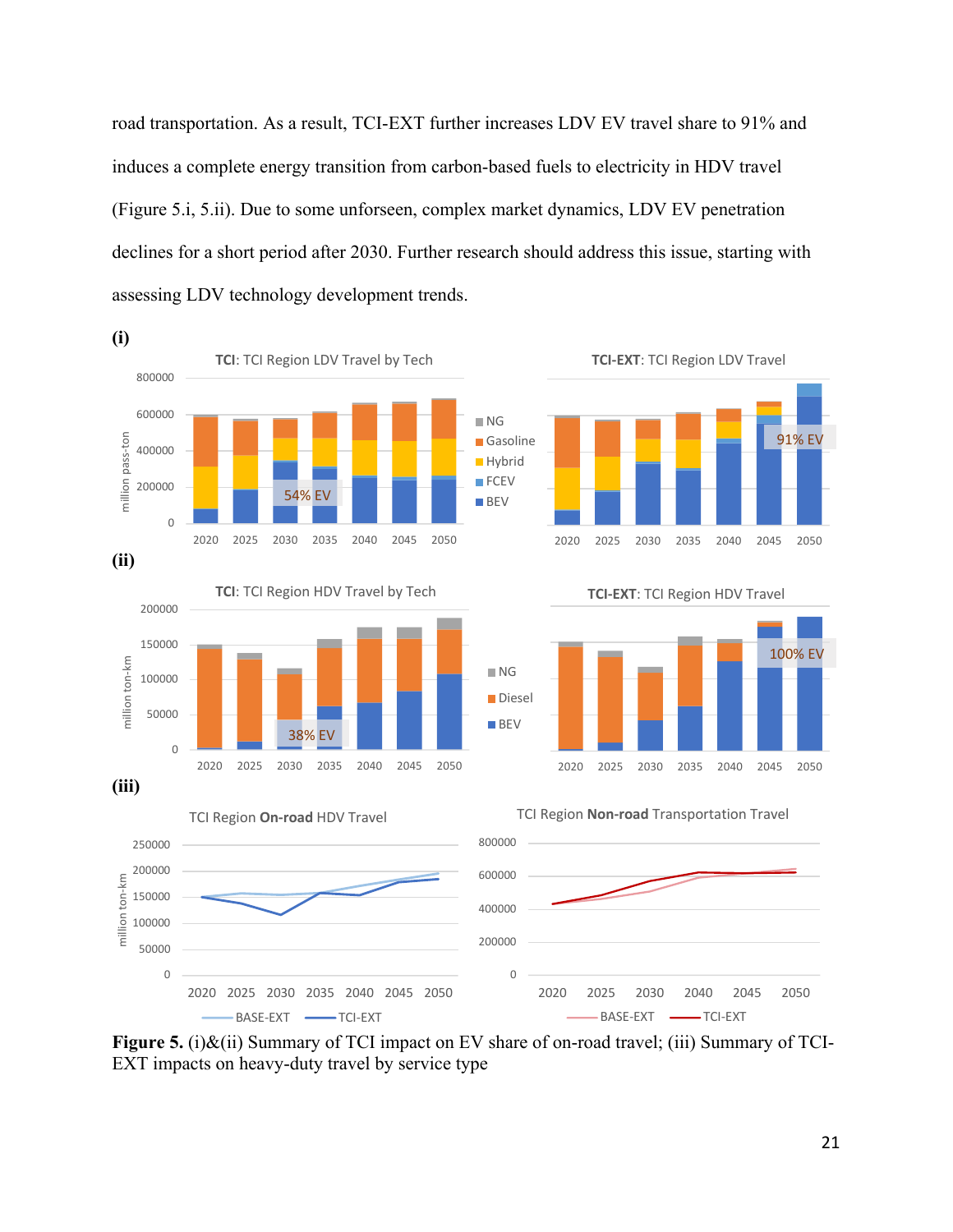road transportation. As a result, TCI-EXT further increases LDV EV travel share to 91% and induces a complete energy transition from carbon-based fuels to electricity in HDV travel (Figure 5.i, 5.ii). Due to some unforseen, complex market dynamics, LDV EV penetration declines for a short period after 2030. Further research should address this issue, starting with assessing LDV technology development trends.



**Figure 5.** (i)&(ii) Summary of TCI impact on EV share of on-road travel; (iii) Summary of TCI-EXT impacts on heavy-duty travel by service type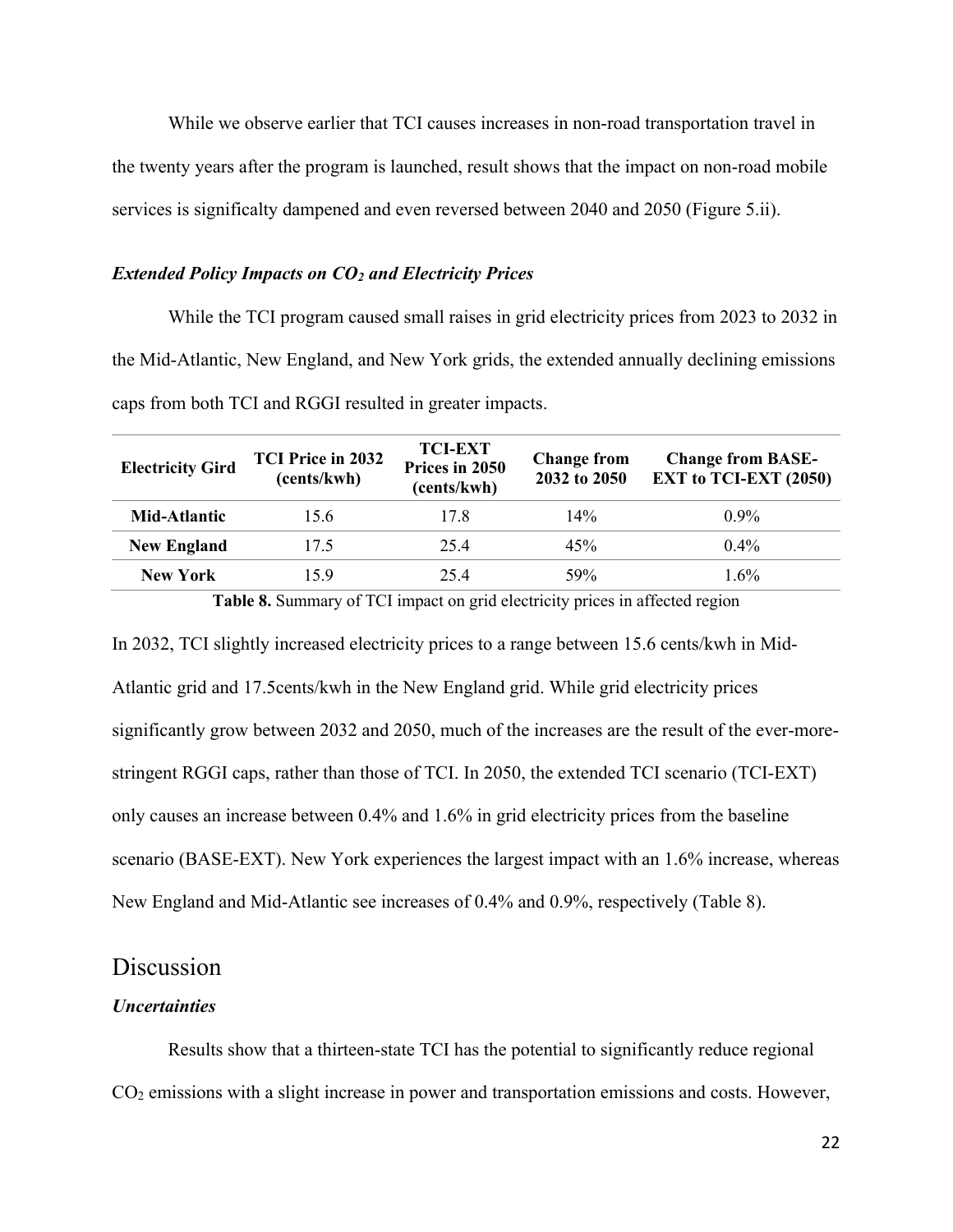While we observe earlier that TCI causes increases in non-road transportation travel in the twenty years after the program is launched, result shows that the impact on non-road mobile services is significalty dampened and even reversed between 2040 and 2050 (Figure 5.ii).

#### *Extended Policy Impacts on CO2 and Electricity Prices*

While the TCI program caused small raises in grid electricity prices from 2023 to 2032 in the Mid-Atlantic, New England, and New York grids, the extended annually declining emissions caps from both TCI and RGGI resulted in greater impacts.

| <b>Electricity Gird</b> | <b>TCI Price in 2032</b><br>(cents/kwh) | <b>TCI-EXT</b><br>Prices in 2050<br>(cents/kwh) | <b>Change from</b><br>2032 to 2050 | <b>Change from BASE-</b><br><b>EXT</b> to TCI-EXT (2050) |
|-------------------------|-----------------------------------------|-------------------------------------------------|------------------------------------|----------------------------------------------------------|
| Mid-Atlantic            | 15.6                                    | 17.8                                            | 14%                                | $0.9\%$                                                  |
| <b>New England</b>      | 17.5                                    | 25.4                                            | 45%                                | $0.4\%$                                                  |
| <b>New York</b>         | 15.9                                    | 25.4                                            | 59%                                | $1.6\%$                                                  |

**Table 8.** Summary of TCI impact on grid electricity prices in affected region

In 2032, TCI slightly increased electricity prices to a range between 15.6 cents/kwh in Mid-Atlantic grid and 17.5cents/kwh in the New England grid. While grid electricity prices significantly grow between 2032 and 2050, much of the increases are the result of the ever-morestringent RGGI caps, rather than those of TCI. In 2050, the extended TCI scenario (TCI-EXT) only causes an increase between 0.4% and 1.6% in grid electricity prices from the baseline scenario (BASE-EXT). New York experiences the largest impact with an 1.6% increase, whereas New England and Mid-Atlantic see increases of 0.4% and 0.9%, respectively (Table 8).

#### **Discussion**

#### *Uncertainties*

Results show that a thirteen-state TCI has the potential to significantly reduce regional CO2 emissions with a slight increase in power and transportation emissions and costs. However,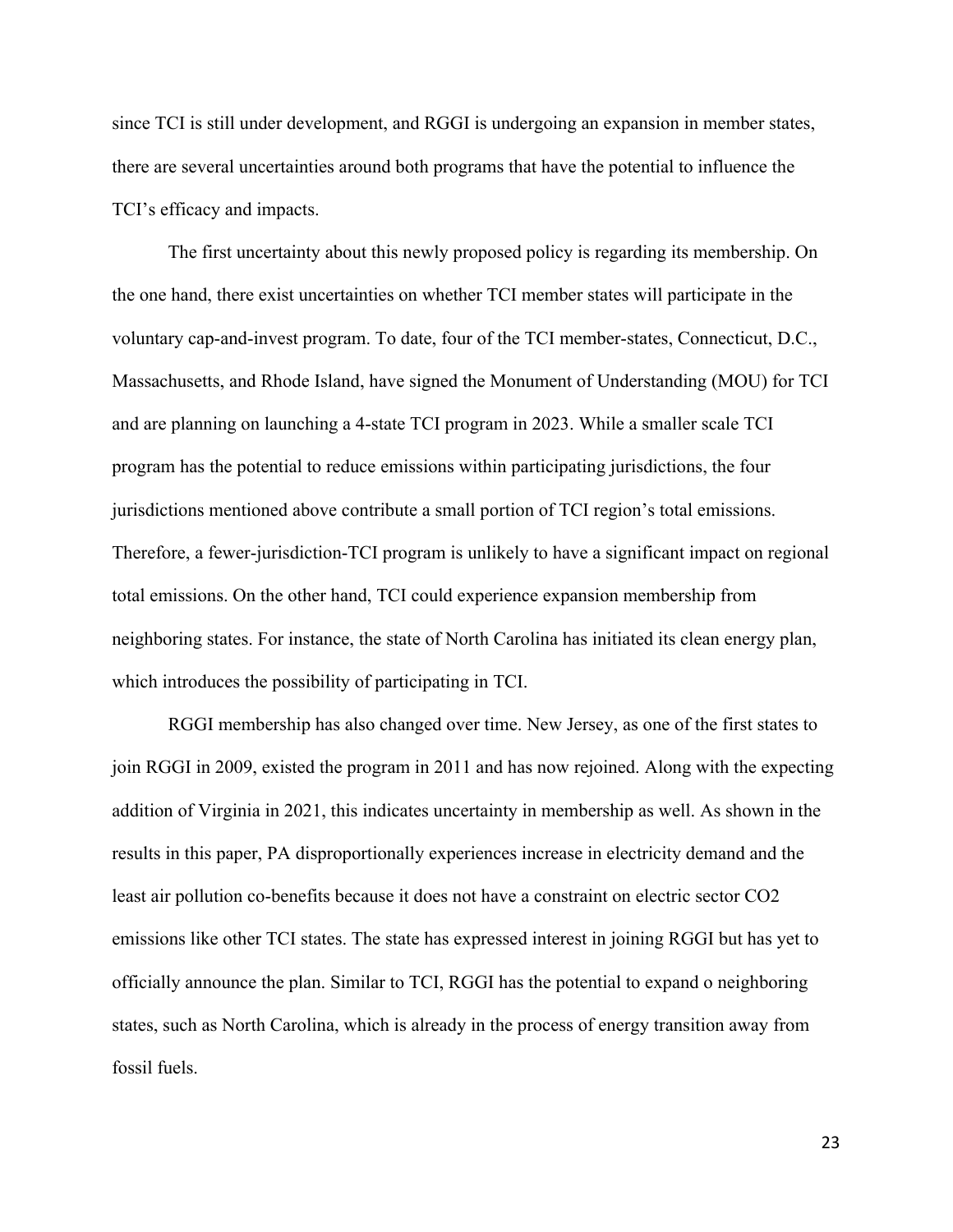since TCI is still under development, and RGGI is undergoing an expansion in member states, there are several uncertainties around both programs that have the potential to influence the TCI's efficacy and impacts.

The first uncertainty about this newly proposed policy is regarding its membership. On the one hand, there exist uncertainties on whether TCI member states will participate in the voluntary cap-and-invest program. To date, four of the TCI member-states, Connecticut, D.C., Massachusetts, and Rhode Island, have signed the Monument of Understanding (MOU) for TCI and are planning on launching a 4-state TCI program in 2023. While a smaller scale TCI program has the potential to reduce emissions within participating jurisdictions, the four jurisdictions mentioned above contribute a small portion of TCI region's total emissions. Therefore, a fewer-jurisdiction-TCI program is unlikely to have a significant impact on regional total emissions. On the other hand, TCI could experience expansion membership from neighboring states. For instance, the state of North Carolina has initiated its clean energy plan, which introduces the possibility of participating in TCI.

RGGI membership has also changed over time. New Jersey, as one of the first states to join RGGI in 2009, existed the program in 2011 and has now rejoined. Along with the expecting addition of Virginia in 2021, this indicates uncertainty in membership as well. As shown in the results in this paper, PA disproportionally experiences increase in electricity demand and the least air pollution co-benefits because it does not have a constraint on electric sector CO2 emissions like other TCI states. The state has expressed interest in joining RGGI but has yet to officially announce the plan. Similar to TCI, RGGI has the potential to expand o neighboring states, such as North Carolina, which is already in the process of energy transition away from fossil fuels.

23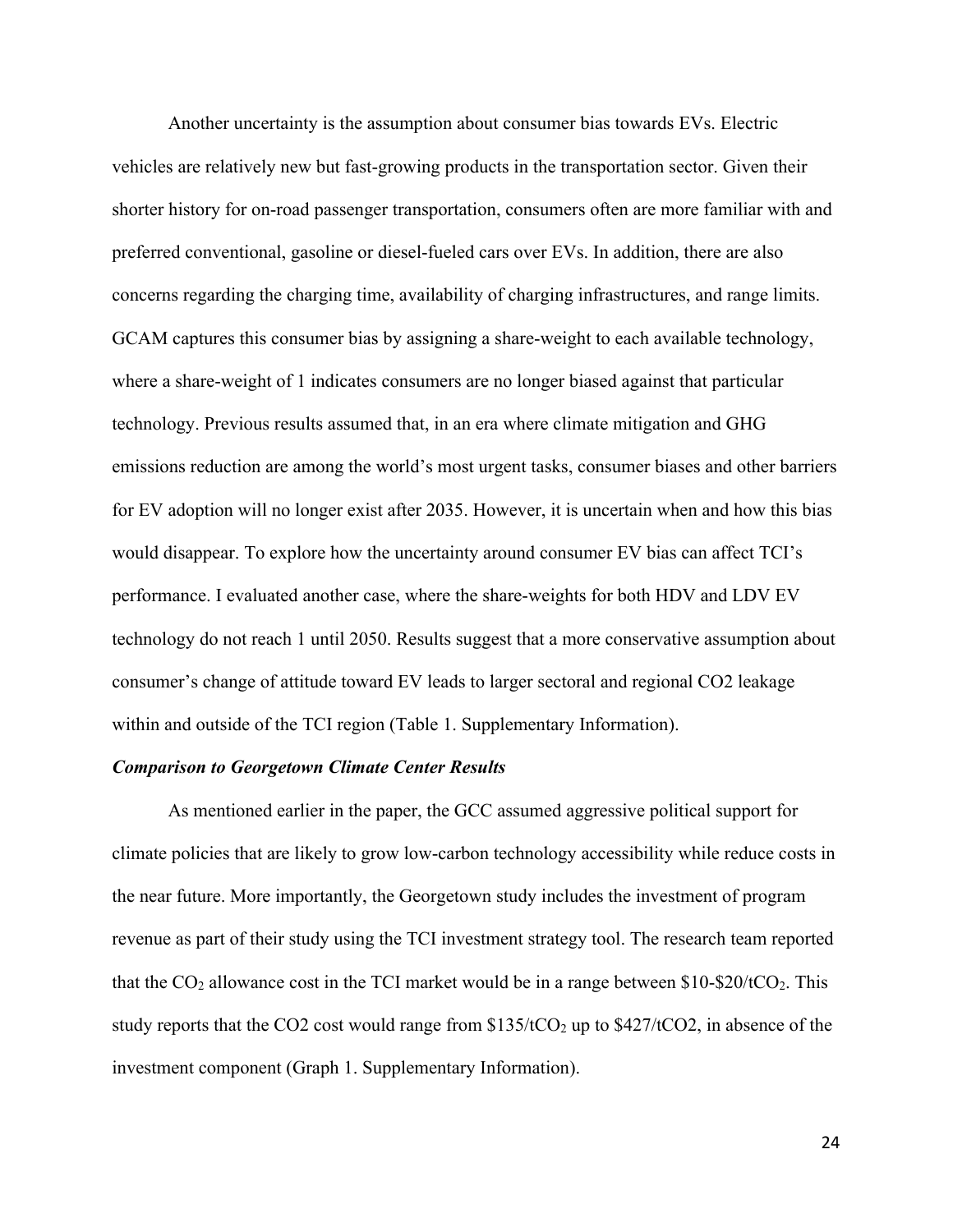Another uncertainty is the assumption about consumer bias towards EVs. Electric vehicles are relatively new but fast-growing products in the transportation sector. Given their shorter history for on-road passenger transportation, consumers often are more familiar with and preferred conventional, gasoline or diesel-fueled cars over EVs. In addition, there are also concerns regarding the charging time, availability of charging infrastructures, and range limits. GCAM captures this consumer bias by assigning a share-weight to each available technology, where a share-weight of 1 indicates consumers are no longer biased against that particular technology. Previous results assumed that, in an era where climate mitigation and GHG emissions reduction are among the world's most urgent tasks, consumer biases and other barriers for EV adoption will no longer exist after 2035. However, it is uncertain when and how this bias would disappear. To explore how the uncertainty around consumer EV bias can affect TCI's performance. I evaluated another case, where the share-weights for both HDV and LDV EV technology do not reach 1 until 2050. Results suggest that a more conservative assumption about consumer's change of attitude toward EV leads to larger sectoral and regional CO2 leakage within and outside of the TCI region (Table 1. Supplementary Information).

#### *Comparison to Georgetown Climate Center Results*

As mentioned earlier in the paper, the GCC assumed aggressive political support for climate policies that are likely to grow low-carbon technology accessibility while reduce costs in the near future. More importantly, the Georgetown study includes the investment of program revenue as part of their study using the TCI investment strategy tool. The research team reported that the  $CO_2$  allowance cost in the TCI market would be in a range between \$10-\$20/tCO<sub>2</sub>. This study reports that the CO2 cost would range from \$135/tCO2 up to \$427/tCO2, in absence of the investment component (Graph 1. Supplementary Information).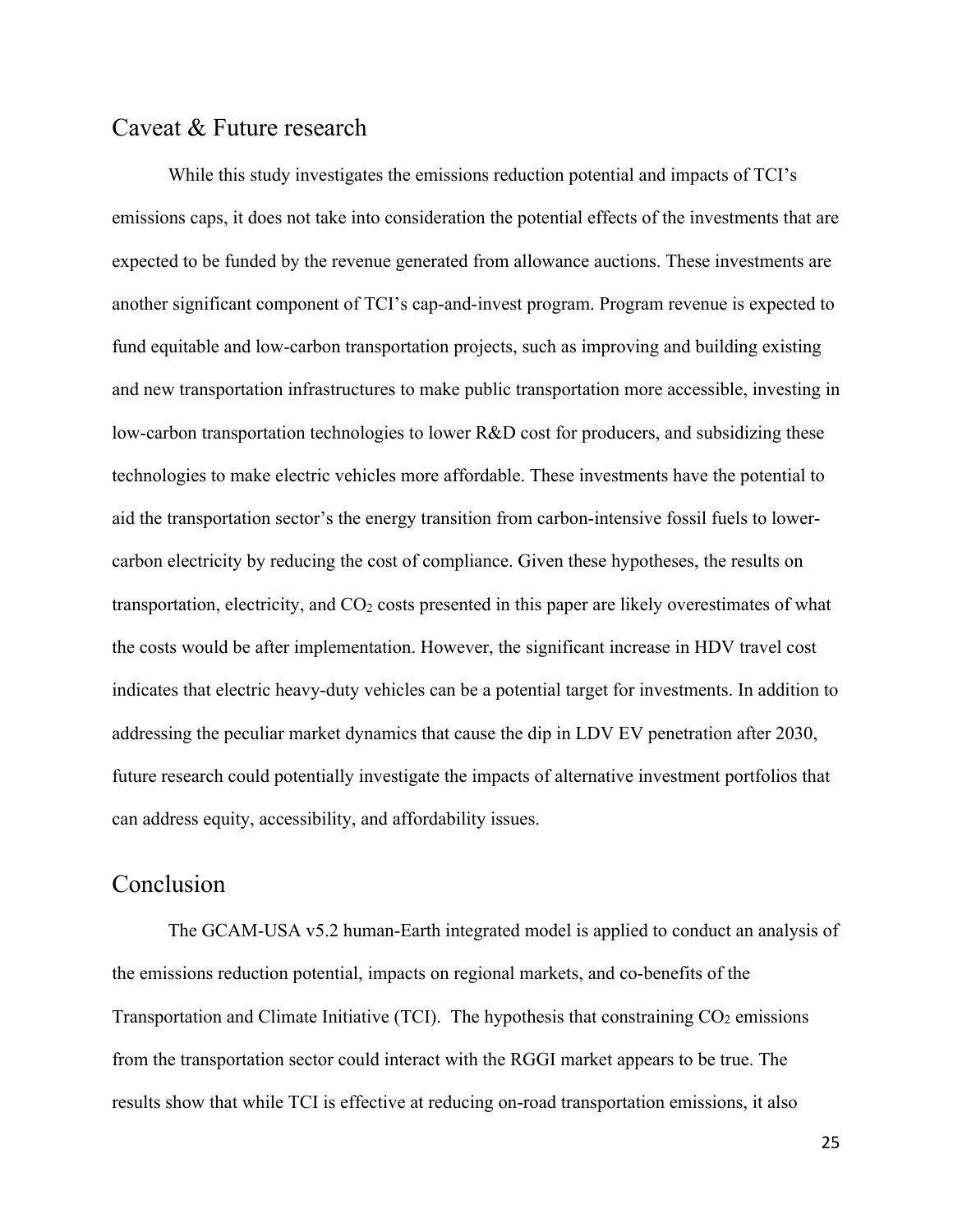### Caveat & Future research

While this study investigates the emissions reduction potential and impacts of TCI's emissions caps, it does not take into consideration the potential effects of the investments that are expected to be funded by the revenue generated from allowance auctions. These investments are another significant component of TCI's cap-and-invest program. Program revenue is expected to fund equitable and low-carbon transportation projects, such as improving and building existing and new transportation infrastructures to make public transportation more accessible, investing in low-carbon transportation technologies to lower R&D cost for producers, and subsidizing these technologies to make electric vehicles more affordable. These investments have the potential to aid the transportation sector's the energy transition from carbon-intensive fossil fuels to lowercarbon electricity by reducing the cost of compliance. Given these hypotheses, the results on transportation, electricity, and  $CO<sub>2</sub>$  costs presented in this paper are likely overestimates of what the costs would be after implementation. However, the significant increase in HDV travel cost indicates that electric heavy-duty vehicles can be a potential target for investments. In addition to addressing the peculiar market dynamics that cause the dip in LDV EV penetration after 2030, future research could potentially investigate the impacts of alternative investment portfolios that can address equity, accessibility, and affordability issues.

# Conclusion

The GCAM-USA v5.2 human-Earth integrated model is applied to conduct an analysis of the emissions reduction potential, impacts on regional markets, and co-benefits of the Transportation and Climate Initiative (TCI). The hypothesis that constraining  $CO<sub>2</sub>$  emissions from the transportation sector could interact with the RGGI market appears to be true. The results show that while TCI is effective at reducing on-road transportation emissions, it also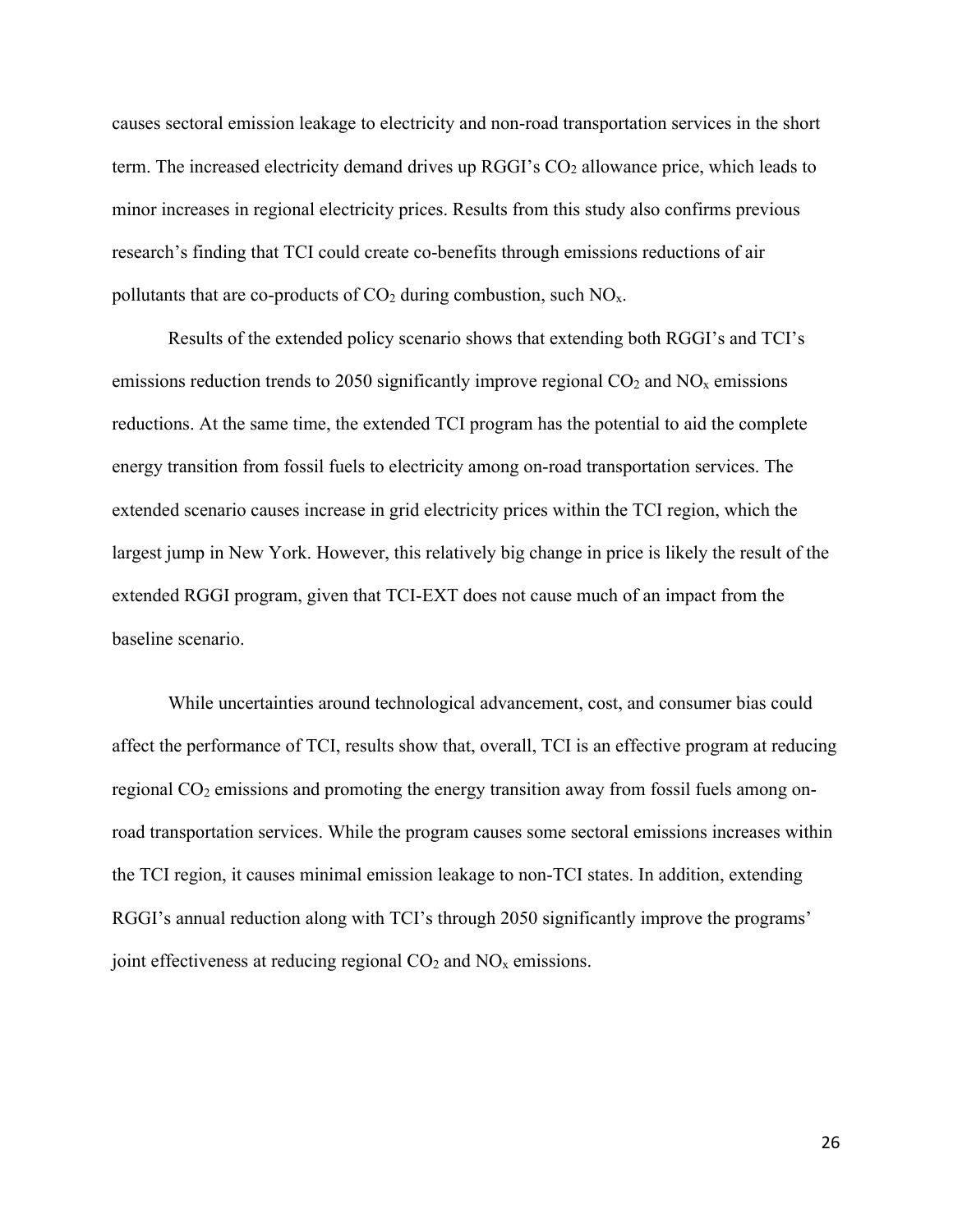causes sectoral emission leakage to electricity and non-road transportation services in the short term. The increased electricity demand drives up  $RGGI$ 's  $CO<sub>2</sub>$  allowance price, which leads to minor increases in regional electricity prices. Results from this study also confirms previous research's finding that TCI could create co-benefits through emissions reductions of air pollutants that are co-products of  $CO<sub>2</sub>$  during combustion, such  $NO<sub>x</sub>$ .

Results of the extended policy scenario shows that extending both RGGI's and TCI's emissions reduction trends to 2050 significantly improve regional  $CO<sub>2</sub>$  and  $NO<sub>x</sub>$  emissions reductions. At the same time, the extended TCI program has the potential to aid the complete energy transition from fossil fuels to electricity among on-road transportation services. The extended scenario causes increase in grid electricity prices within the TCI region, which the largest jump in New York. However, this relatively big change in price is likely the result of the extended RGGI program, given that TCI-EXT does not cause much of an impact from the baseline scenario.

While uncertainties around technological advancement, cost, and consumer bias could affect the performance of TCI, results show that, overall, TCI is an effective program at reducing regional  $CO<sub>2</sub>$  emissions and promoting the energy transition away from fossil fuels among onroad transportation services. While the program causes some sectoral emissions increases within the TCI region, it causes minimal emission leakage to non-TCI states. In addition, extending RGGI's annual reduction along with TCI's through 2050 significantly improve the programs' joint effectiveness at reducing regional  $CO<sub>2</sub>$  and  $NO<sub>x</sub>$  emissions.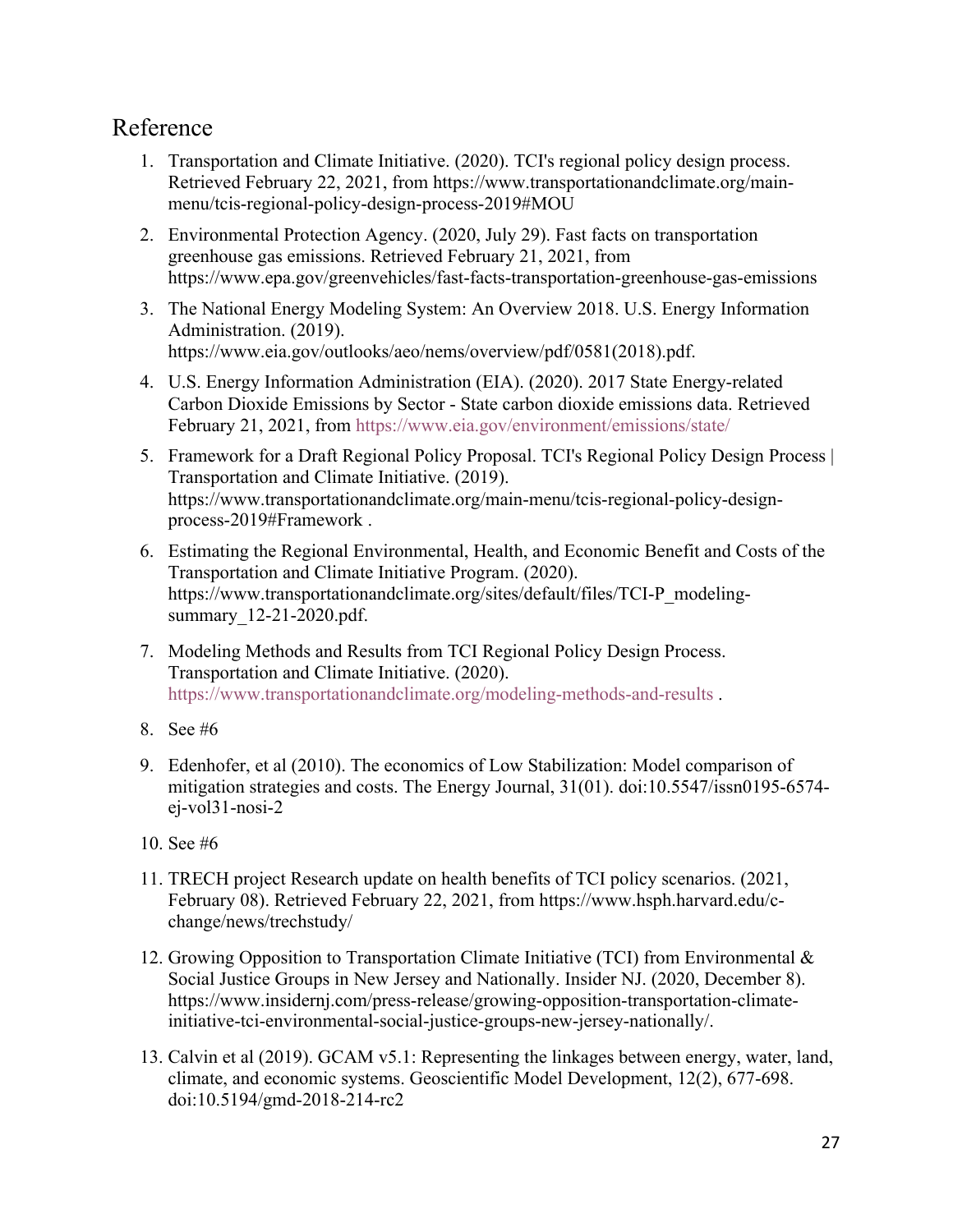# Reference

- 1. Transportation and Climate Initiative. (2020). TCI's regional policy design process. Retrieved February 22, 2021, from https://www.transportationandclimate.org/mainmenu/tcis-regional-policy-design-process-2019#MOU
- 2. Environmental Protection Agency. (2020, July 29). Fast facts on transportation greenhouse gas emissions. Retrieved February 21, 2021, from https://www.epa.gov/greenvehicles/fast-facts-transportation-greenhouse-gas-emissions
- 3. The National Energy Modeling System: An Overview 2018. U.S. Energy Information Administration. (2019). https://www.eia.gov/outlooks/aeo/nems/overview/pdf/0581(2018).pdf.
- 4. U.S. Energy Information Administration (EIA). (2020). 2017 State Energy-related Carbon Dioxide Emissions by Sector - State carbon dioxide emissions data. Retrieved February 21, 2021, from https://www.eia.gov/environment/emissions/state/
- 5. Framework for a Draft Regional Policy Proposal. TCI's Regional Policy Design Process | Transportation and Climate Initiative. (2019). https://www.transportationandclimate.org/main-menu/tcis-regional-policy-designprocess-2019#Framework .
- 6. Estimating the Regional Environmental, Health, and Economic Benefit and Costs of the Transportation and Climate Initiative Program. (2020). https://www.transportationandclimate.org/sites/default/files/TCI-P\_modelingsummary 12-21-2020.pdf.
- 7. Modeling Methods and Results from TCI Regional Policy Design Process. Transportation and Climate Initiative. (2020). https://www.transportationandclimate.org/modeling-methods-and-results .
- 8. See #6
- 9. Edenhofer, et al (2010). The economics of Low Stabilization: Model comparison of mitigation strategies and costs. The Energy Journal, 31(01). doi:10.5547/issn0195-6574 ej-vol31-nosi-2
- 10. See #6
- 11. TRECH project Research update on health benefits of TCI policy scenarios. (2021, February 08). Retrieved February 22, 2021, from https://www.hsph.harvard.edu/cchange/news/trechstudy/
- 12. Growing Opposition to Transportation Climate Initiative (TCI) from Environmental & Social Justice Groups in New Jersey and Nationally. Insider NJ. (2020, December 8). https://www.insidernj.com/press-release/growing-opposition-transportation-climateinitiative-tci-environmental-social-justice-groups-new-jersey-nationally/.
- 13. Calvin et al (2019). GCAM v5.1: Representing the linkages between energy, water, land, climate, and economic systems. Geoscientific Model Development, 12(2), 677-698. doi:10.5194/gmd-2018-214-rc2